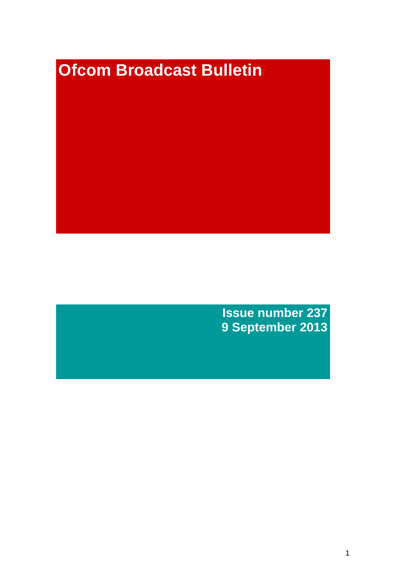# **Ofcom Broadcast Bulletin**

**Issue number 237 9 September 2013**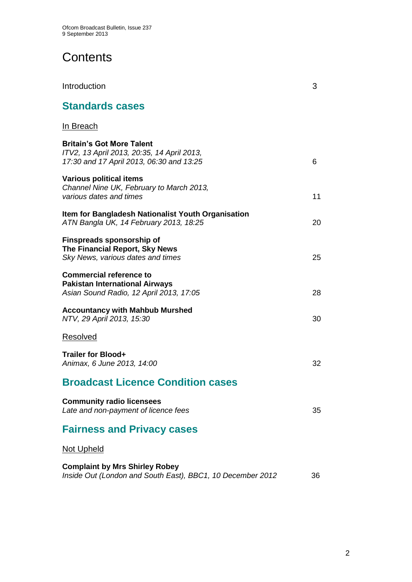# **Contents**

| <b>Standards cases</b>                                                                                                     |    |
|----------------------------------------------------------------------------------------------------------------------------|----|
| <u>In Breach</u>                                                                                                           |    |
| <b>Britain's Got More Talent</b><br>ITV2, 13 April 2013, 20:35, 14 April 2013,<br>17:30 and 17 April 2013, 06:30 and 13:25 | 6  |
| <b>Various political items</b><br>Channel Nine UK, February to March 2013,<br>various dates and times                      | 11 |
| Item for Bangladesh Nationalist Youth Organisation<br>ATN Bangla UK, 14 February 2013, 18:25                               | 20 |
| <b>Finspreads sponsorship of</b><br>The Financial Report, Sky News<br>Sky News, various dates and times                    | 25 |
| <b>Commercial reference to</b><br><b>Pakistan International Airways</b><br>Asian Sound Radio, 12 April 2013, 17:05         | 28 |
| <b>Accountancy with Mahbub Murshed</b><br>NTV, 29 April 2013, 15:30                                                        | 30 |
| <b>Resolved</b>                                                                                                            |    |
| <b>Trailer for Blood+</b><br>Animax, 6 June 2013, 14:00                                                                    | 32 |
| <b>Broadcast Licence Condition cases</b>                                                                                   |    |
| <b>Community radio licensees</b><br>Late and non-payment of licence fees                                                   | 35 |
| <b>Fairness and Privacy cases</b>                                                                                          |    |
| <b>Not Upheld</b>                                                                                                          |    |
| <b>Complaint by Mrs Shirley Robey</b><br>Inside Out (London and South East), BBC1, 10 December 2012                        | 36 |

Introduction 3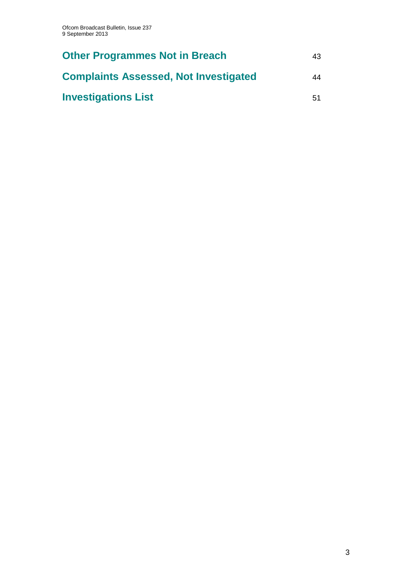| <b>Other Programmes Not in Breach</b>        | 43. |
|----------------------------------------------|-----|
| <b>Complaints Assessed, Not Investigated</b> | 44  |
| <b>Investigations List</b>                   | 51  |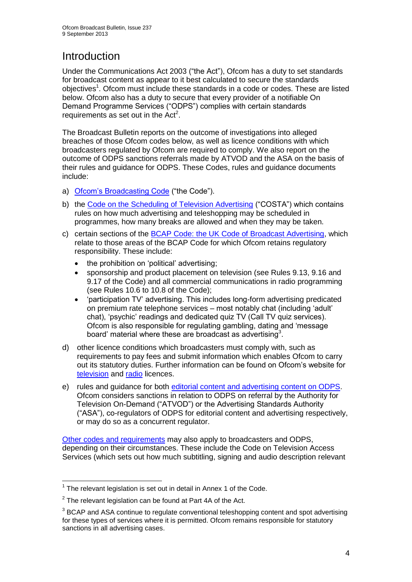# **Introduction**

Under the Communications Act 2003 ("the Act"), Ofcom has a duty to set standards for broadcast content as appear to it best calculated to secure the standards objectives<sup>1</sup>. Ofcom must include these standards in a code or codes. These are listed below. Ofcom also has a duty to secure that every provider of a notifiable On Demand Programme Services ("ODPS") complies with certain standards requirements as set out in the  $Act<sup>2</sup>$ .

The Broadcast Bulletin reports on the outcome of investigations into alleged breaches of those Ofcom codes below, as well as licence conditions with which broadcasters regulated by Ofcom are required to comply. We also report on the outcome of ODPS sanctions referrals made by ATVOD and the ASA on the basis of their rules and guidance for ODPS. These Codes, rules and guidance documents include:

- a) [Ofcom's Broadcasting Code](http://stakeholders.ofcom.org.uk/broadcasting/broadcast-codes/broadcast-code/) ("the Code").
- b) the [Code on the Scheduling of Television Advertising](http://stakeholders.ofcom.org.uk/broadcasting/broadcast-codes/advert-code/) ("COSTA") which contains rules on how much advertising and teleshopping may be scheduled in programmes, how many breaks are allowed and when they may be taken.
- c) certain sections of the [BCAP Code: the UK Code of Broadcast Advertising,](http://www.bcap.org.uk/Advertising-Codes/Broadcast-HTML.aspx) which relate to those areas of the BCAP Code for which Ofcom retains regulatory responsibility. These include:
	- the prohibition on 'political' advertising:
	- sponsorship and product placement on television (see Rules 9.13, 9.16 and 9.17 of the Code) and all commercial communications in radio programming (see Rules 10.6 to 10.8 of the Code);
	- 'participation TV' advertising. This includes long-form advertising predicated on premium rate telephone services – most notably chat (including 'adult' chat), 'psychic' readings and dedicated quiz TV (Call TV quiz services). Ofcom is also responsible for regulating gambling, dating and 'message board' material where these are broadcast as advertising<sup>3</sup>.
- d) other licence conditions which broadcasters must comply with, such as requirements to pay fees and submit information which enables Ofcom to carry out its statutory duties. Further information can be found on Ofcom's website for [television](http://licensing.ofcom.org.uk/tv-broadcast-licences/) and [radio](http://licensing.ofcom.org.uk/radio-broadcast-licensing/) licences.
- e) rules and guidance for both [editorial content and advertising content on ODPS.](http://www.atvod.co.uk/uploads/files/ATVOD_Rules_and_Guidance_Ed_2.0_May_2012.pdf) Ofcom considers sanctions in relation to ODPS on referral by the Authority for Television On-Demand ("ATVOD") or the Advertising Standards Authority ("ASA"), co-regulators of ODPS for editorial content and advertising respectively, or may do so as a concurrent regulator.

[Other codes and requirements](http://stakeholders.ofcom.org.uk/broadcasting/broadcast-codes/) may also apply to broadcasters and ODPS, depending on their circumstances. These include the Code on Television Access Services (which sets out how much subtitling, signing and audio description relevant

<sup>1</sup>  $1$  The relevant legislation is set out in detail in Annex 1 of the Code.

 $2$  The relevant legislation can be found at Part 4A of the Act.

 $3$  BCAP and ASA continue to regulate conventional teleshopping content and spot advertising for these types of services where it is permitted. Ofcom remains responsible for statutory sanctions in all advertising cases.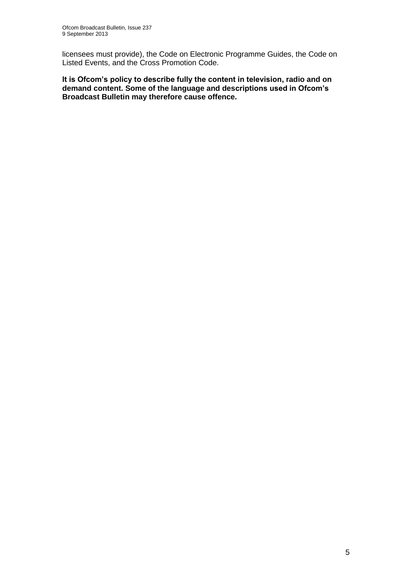licensees must provide), the Code on Electronic Programme Guides, the Code on Listed Events, and the Cross Promotion Code.

**It is Ofcom's policy to describe fully the content in television, radio and on demand content. Some of the language and descriptions used in Ofcom's Broadcast Bulletin may therefore cause offence.**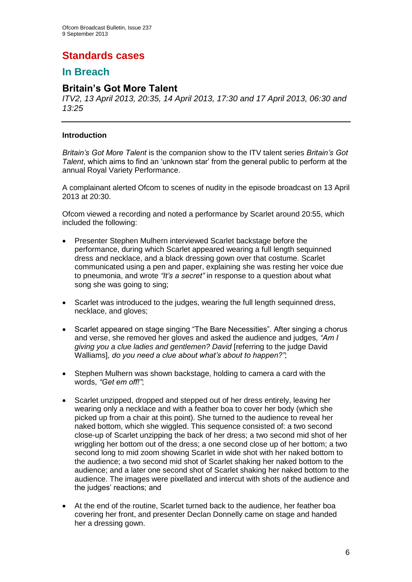# **Standards cases**

## **In Breach**

## **Britain's Got More Talent**

*ITV2, 13 April 2013, 20:35, 14 April 2013, 17:30 and 17 April 2013, 06:30 and 13:25*

## **Introduction**

*Britain's Got More Talent* is the companion show to the ITV talent series *Britain's Got Talent*, which aims to find an 'unknown star' from the general public to perform at the annual Royal Variety Performance.

A complainant alerted Ofcom to scenes of nudity in the episode broadcast on 13 April 2013 at 20:30.

Ofcom viewed a recording and noted a performance by Scarlet around 20:55, which included the following:

- Presenter Stephen Mulhern interviewed Scarlet backstage before the performance, during which Scarlet appeared wearing a full length sequinned dress and necklace, and a black dressing gown over that costume. Scarlet communicated using a pen and paper, explaining she was resting her voice due to pneumonia, and wrote *"It's a secret"* in response to a question about what song she was going to sing;
- Scarlet was introduced to the judges, wearing the full length sequinned dress, necklace, and gloves;
- Scarlet appeared on stage singing "The Bare Necessities". After singing a chorus and verse, she removed her gloves and asked the audience and judges, *"Am I giving you a clue ladies and gentlemen? David* [referring to the judge David Walliams]*, do you need a clue about what's about to happen?"*;
- Stephen Mulhern was shown backstage, holding to camera a card with the words, *"Get em off!"*;
- Scarlet unzipped, dropped and stepped out of her dress entirely, leaving her wearing only a necklace and with a feather boa to cover her body (which she picked up from a chair at this point). She turned to the audience to reveal her naked bottom, which she wiggled. This sequence consisted of: a two second close-up of Scarlet unzipping the back of her dress; a two second mid shot of her wriggling her bottom out of the dress; a one second close up of her bottom; a two second long to mid zoom showing Scarlet in wide shot with her naked bottom to the audience; a two second mid shot of Scarlet shaking her naked bottom to the audience; and a later one second shot of Scarlet shaking her naked bottom to the audience. The images were pixellated and intercut with shots of the audience and the judges' reactions; and
- At the end of the routine, Scarlet turned back to the audience, her feather boa covering her front, and presenter Declan Donnelly came on stage and handed her a dressing gown.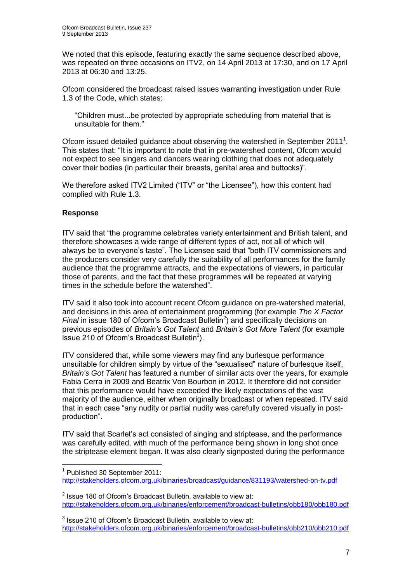We noted that this episode, featuring exactly the same sequence described above, was repeated on three occasions on ITV2, on 14 April 2013 at 17:30, and on 17 April 2013 at 06:30 and 13:25.

Ofcom considered the broadcast raised issues warranting investigation under Rule 1.3 of the Code, which states:

"Children must...be protected by appropriate scheduling from material that is unsuitable for them."

Ofcom issued detailed guidance about observing the watershed in September 2011<sup>1</sup>. This states that: "It is important to note that in pre-watershed content, Ofcom would not expect to see singers and dancers wearing clothing that does not adequately cover their bodies (in particular their breasts, genital area and buttocks)".

We therefore asked ITV2 Limited ("ITV" or "the Licensee"), how this content had complied with Rule 1.3.

## **Response**

ITV said that "the programme celebrates variety entertainment and British talent, and therefore showcases a wide range of different types of act, not all of which will always be to everyone's taste". The Licensee said that "both ITV commissioners and the producers consider very carefully the suitability of all performances for the family audience that the programme attracts, and the expectations of viewers, in particular those of parents, and the fact that these programmes will be repeated at varying times in the schedule before the watershed".

ITV said it also took into account recent Ofcom guidance on pre-watershed material, and decisions in this area of entertainment programming (for example *The X Factor Final* in issue 180 of Ofcom's Broadcast Bulletin<sup>2</sup>) and specifically decisions on previous episodes of *Britain's Got Talent* and *Britain's Got More Talent* (for example issue 210 of Ofcom's Broadcast Bulletin<sup>3</sup>).

ITV considered that, while some viewers may find any burlesque performance unsuitable for children simply by virtue of the "sexualised" nature of burlesque itself, *Britain's Got Talent* has featured a number of similar acts over the years, for example Fabia Cerra in 2009 and Beatrix Von Bourbon in 2012. It therefore did not consider that this performance would have exceeded the likely expectations of the vast majority of the audience, either when originally broadcast or when repeated. ITV said that in each case "any nudity or partial nudity was carefully covered visually in postproduction".

ITV said that Scarlet's act consisted of singing and striptease, and the performance was carefully edited, with much of the performance being shown in long shot once the striptease element began. It was also clearly signposted during the performance

<sup>1</sup> 1 Published 30 September 2011: <http://stakeholders.ofcom.org.uk/binaries/broadcast/guidance/831193/watershed-on-tv.pdf>

 $2$  Issue 180 of Ofcom's Broadcast Bulletin, available to view at: <http://stakeholders.ofcom.org.uk/binaries/enforcement/broadcast-bulletins/obb180/obb180.pdf>

 $3$  Issue 210 of Ofcom's Broadcast Bulletin, available to view at: <http://stakeholders.ofcom.org.uk/binaries/enforcement/broadcast-bulletins/obb210/obb210.pdf>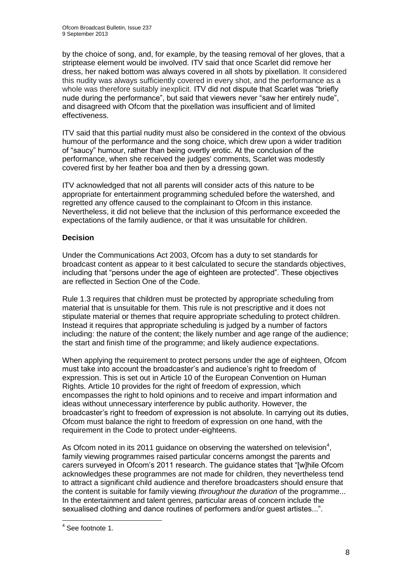by the choice of song, and, for example, by the teasing removal of her gloves, that a striptease element would be involved. ITV said that once Scarlet did remove her dress, her naked bottom was always covered in all shots by pixellation. It considered this nudity was always sufficiently covered in every shot, and the performance as a whole was therefore suitably inexplicit. ITV did not dispute that Scarlet was "briefly nude during the performance", but said that viewers never "saw her entirely nude", and disagreed with Ofcom that the pixellation was insufficient and of limited effectiveness.

ITV said that this partial nudity must also be considered in the context of the obvious humour of the performance and the song choice, which drew upon a wider tradition of "saucy" humour, rather than being overtly erotic. At the conclusion of the performance, when she received the judges' comments, Scarlet was modestly covered first by her feather boa and then by a dressing gown.

ITV acknowledged that not all parents will consider acts of this nature to be appropriate for entertainment programming scheduled before the watershed, and regretted any offence caused to the complainant to Ofcom in this instance. Nevertheless, it did not believe that the inclusion of this performance exceeded the expectations of the family audience, or that it was unsuitable for children.

## **Decision**

Under the Communications Act 2003, Ofcom has a duty to set standards for broadcast content as appear to it best calculated to secure the standards objectives, including that "persons under the age of eighteen are protected". These objectives are reflected in Section One of the Code.

Rule 1.3 requires that children must be protected by appropriate scheduling from material that is unsuitable for them. This rule is not prescriptive and it does not stipulate material or themes that require appropriate scheduling to protect children. Instead it requires that appropriate scheduling is judged by a number of factors including: the nature of the content; the likely number and age range of the audience; the start and finish time of the programme; and likely audience expectations.

When applying the requirement to protect persons under the age of eighteen, Ofcom must take into account the broadcaster's and audience's right to freedom of expression. This is set out in Article 10 of the European Convention on Human Rights. Article 10 provides for the right of freedom of expression, which encompasses the right to hold opinions and to receive and impart information and ideas without unnecessary interference by public authority. However, the broadcaster's right to freedom of expression is not absolute. In carrying out its duties, Ofcom must balance the right to freedom of expression on one hand, with the requirement in the Code to protect under-eighteens.

As Ofcom noted in its 2011 guidance on observing the watershed on television<sup>4</sup>, family viewing programmes raised particular concerns amongst the parents and carers surveyed in Ofcom's 2011 research. The guidance states that "[w]hile Ofcom acknowledges these programmes are not made for children, they nevertheless tend to attract a significant child audience and therefore broadcasters should ensure that the content is suitable for family viewing *throughout the duration* of the programme... In the entertainment and talent genres, particular areas of concern include the sexualised clothing and dance routines of performers and/or guest artistes...".

 4 See footnote 1.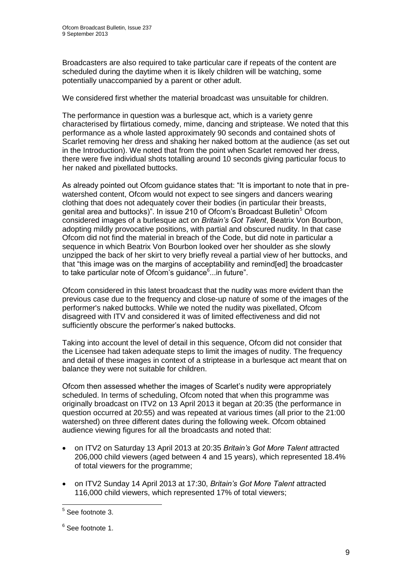Broadcasters are also required to take particular care if repeats of the content are scheduled during the daytime when it is likely children will be watching, some potentially unaccompanied by a parent or other adult.

We considered first whether the material broadcast was unsuitable for children.

The performance in question was a burlesque act, which is a variety genre characterised by flirtatious comedy, mime, dancing and striptease. We noted that this performance as a whole lasted approximately 90 seconds and contained shots of Scarlet removing her dress and shaking her naked bottom at the audience (as set out in the Introduction). We noted that from the point when Scarlet removed her dress, there were five individual shots totalling around 10 seconds giving particular focus to her naked and pixellated buttocks.

As already pointed out Ofcom guidance states that: "It is important to note that in prewatershed content, Ofcom would not expect to see singers and dancers wearing clothing that does not adequately cover their bodies (in particular their breasts, genital area and buttocks)". In issue 210 of Ofcom's Broadcast Bulletin<sup>5</sup> Ofcom considered images of a burlesque act on *Britain's Got Talent*, Beatrix Von Bourbon, adopting mildly provocative positions, with partial and obscured nudity. In that case Ofcom did not find the material in breach of the Code, but did note in particular a sequence in which Beatrix Von Bourbon looked over her shoulder as she slowly unzipped the back of her skirt to very briefly reveal a partial view of her buttocks, and that "this image was on the margins of acceptability and remind[ed] the broadcaster to take particular note of Ofcom's guidance<sup>6</sup>...in future".

Ofcom considered in this latest broadcast that the nudity was more evident than the previous case due to the frequency and close-up nature of some of the images of the performer's naked buttocks. While we noted the nudity was pixellated, Ofcom disagreed with ITV and considered it was of limited effectiveness and did not sufficiently obscure the performer's naked buttocks.

Taking into account the level of detail in this sequence, Ofcom did not consider that the Licensee had taken adequate steps to limit the images of nudity. The frequency and detail of these images in context of a striptease in a burlesque act meant that on balance they were not suitable for children.

Ofcom then assessed whether the images of Scarlet's nudity were appropriately scheduled. In terms of scheduling, Ofcom noted that when this programme was originally broadcast on ITV2 on 13 April 2013 it began at 20:35 (the performance in question occurred at 20:55) and was repeated at various times (all prior to the 21:00 watershed) on three different dates during the following week. Ofcom obtained audience viewing figures for all the broadcasts and noted that:

- on ITV2 on Saturday 13 April 2013 at 20:35 *Britain's Got More Talent* attracted 206,000 child viewers (aged between 4 and 15 years), which represented 18.4% of total viewers for the programme;
- on ITV2 Sunday 14 April 2013 at 17:30, *Britain's Got More Talent* attracted 116,000 child viewers, which represented 17% of total viewers;

 5 See footnote 3.

<sup>&</sup>lt;sup>6</sup> See footnote 1.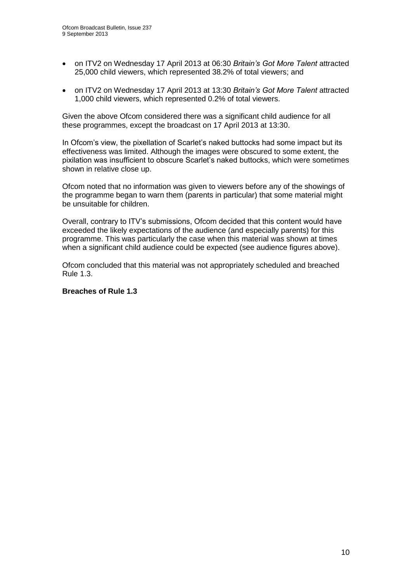- on ITV2 on Wednesday 17 April 2013 at 06:30 *Britain's Got More Talent* attracted 25,000 child viewers, which represented 38.2% of total viewers; and
- on ITV2 on Wednesday 17 April 2013 at 13:30 *Britain's Got More Talent* attracted 1,000 child viewers, which represented 0.2% of total viewers.

Given the above Ofcom considered there was a significant child audience for all these programmes, except the broadcast on 17 April 2013 at 13:30.

In Ofcom's view, the pixellation of Scarlet's naked buttocks had some impact but its effectiveness was limited. Although the images were obscured to some extent, the pixilation was insufficient to obscure Scarlet's naked buttocks, which were sometimes shown in relative close up.

Ofcom noted that no information was given to viewers before any of the showings of the programme began to warn them (parents in particular) that some material might be unsuitable for children.

Overall, contrary to ITV's submissions, Ofcom decided that this content would have exceeded the likely expectations of the audience (and especially parents) for this programme. This was particularly the case when this material was shown at times when a significant child audience could be expected (see audience figures above).

Ofcom concluded that this material was not appropriately scheduled and breached Rule 1.3.

#### **Breaches of Rule 1.3**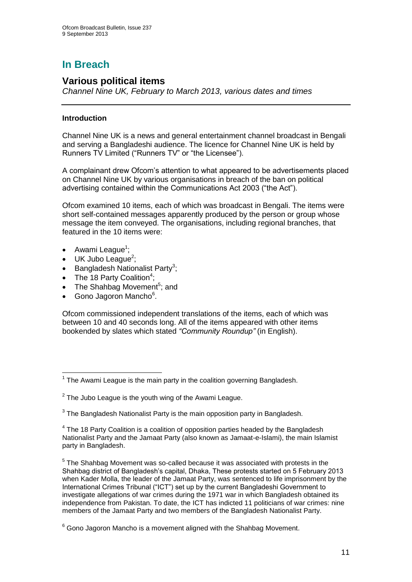# **In Breach**

## **Various political items**

*Channel Nine UK, February to March 2013, various dates and times*

## **Introduction**

Channel Nine UK is a news and general entertainment channel broadcast in Bengali and serving a Bangladeshi audience. The licence for Channel Nine UK is held by Runners TV Limited ("Runners TV" or "the Licensee").

A complainant drew Ofcom's attention to what appeared to be advertisements placed on Channel Nine UK by various organisations in breach of the ban on political advertising contained within the Communications Act 2003 ("the Act").

Ofcom examined 10 items, each of which was broadcast in Bengali. The items were short self-contained messages apparently produced by the person or group whose message the item conveyed. The organisations, including regional branches, that featured in the 10 items were:

- Awami League<sup>1</sup>;
- $\bullet$  UK Jubo League<sup>2</sup>;
- Bangladesh Nationalist Party<sup>3</sup>;
- The 18 Party Coalition<sup>4</sup>;
- The Shahbag Movement<sup>5</sup>; and
- Gono Jagoron Mancho<sup>6</sup>.

Ofcom commissioned independent translations of the items, each of which was between 10 and 40 seconds long. All of the items appeared with other items bookended by slates which stated *"Community Roundup"* (in English).

<sup>1</sup>  $1$  The Awami League is the main party in the coalition governing Bangladesh.

 $2$  The Jubo League is the youth wing of the Awami League.

 $3$  The Bangladesh Nationalist Party is the main opposition party in Bangladesh.

 $4$  The 18 Party Coalition is a coalition of opposition parties headed by the Bangladesh Nationalist Party and the Jamaat Party (also known as Jamaat-e-Islami), the main Islamist party in Bangladesh.

<sup>&</sup>lt;sup>5</sup> The Shahbag Movement was so-called because it was associated with protests in the Shahbag district of Bangladesh's capital, Dhaka, These protests started on 5 February 2013 when Kader Molla, the leader of the Jamaat Party, was sentenced to life imprisonment by the International Crimes Tribunal ("ICT") set up by the current Bangladeshi Government to investigate allegations of war crimes during the 1971 war in which Bangladesh obtained its independence from Pakistan. To date, the ICT has indicted 11 politicians of war crimes: nine members of the Jamaat Party and two members of the Bangladesh Nationalist Party.

 $6$  Gono Jagoron Mancho is a movement aligned with the Shahbag Movement.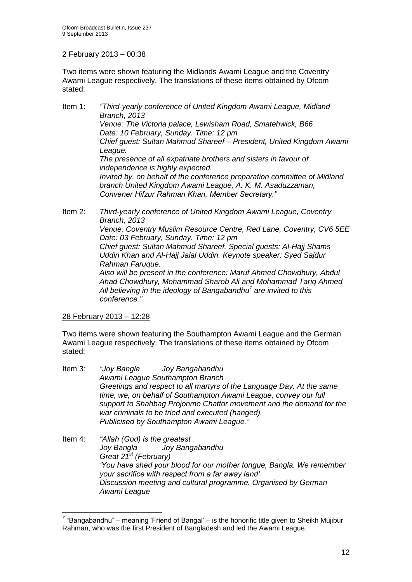## 2 February 2013 – 00:38

Two items were shown featuring the Midlands Awami League and the Coventry Awami League respectively. The translations of these items obtained by Ofcom stated:

Item 1: *"Third-yearly conference of United Kingdom Awami League, Midland Branch, 2013 Venue: The Victoria palace, Lewisham Road, Smatehwick, B66 Date: 10 February, Sunday. Time: 12 pm Chief guest: Sultan Mahmud Shareef – President, United Kingdom Awami League. The presence of all expatriate brothers and sisters in favour of independence is highly expected. Invited by, on behalf of the conference preparation committee of Midland branch United Kingdom Awami League, A. K. M. Asaduzzaman, Convener Hifzur Rahman Khan, Member Secretary."* 

Item 2: *Third-yearly conference of United Kingdom Awami League, Coventry Branch, 2013 Venue: Coventry Muslim Resource Centre, Red Lane, Coventry, CV6 5EE Date: 03 February, Sunday. Time: 12 pm Chief guest: Sultan Mahmud Shareef. Special guests: Al-Hajj Shams Uddin Khan and Al-Hajj Jalal Uddin. Keynote speaker: Syed Sajdur Rahman Faruque. Also will be present in the conference: Maruf Ahmed Chowdhury, Abdul Ahad Chowdhury, Mohammad Sharob Ali and Mohammad Tariq Ahmed All believing in the ideology of Bangabandhu<sup>7</sup> are invited to this conference."*

28 February 2013 – 12:28

1

Two items were shown featuring the Southampton Awami League and the German Awami League respectively. The translations of these items obtained by Ofcom stated:

- Item 3: *"Joy Bangla Joy Bangabandhu Awami League Southampton Branch Greetings and respect to all martyrs of the Language Day. At the same time, we, on behalf of Southampton Awami League, convey our full support to Shahbag Projonmo Chattor movement and the demand for the war criminals to be tried and executed (hanged). Publicised by Southampton Awami League."*
- Item 4: *"Allah (God) is the greatest Joy Bangla Joy Bangabandhu Great 21st (February) 'You have shed your blood for our mother tongue, Bangla. We remember your sacrifice with respect from a far away land' Discussion meeting and cultural programme. Organised by German Awami League*

<sup>&</sup>lt;sup>7</sup> "Bangabandhu" – meaning 'Friend of Bangal' – is the honorific title given to Sheikh Mujibur Rahman, who was the first President of Bangladesh and led the Awami League.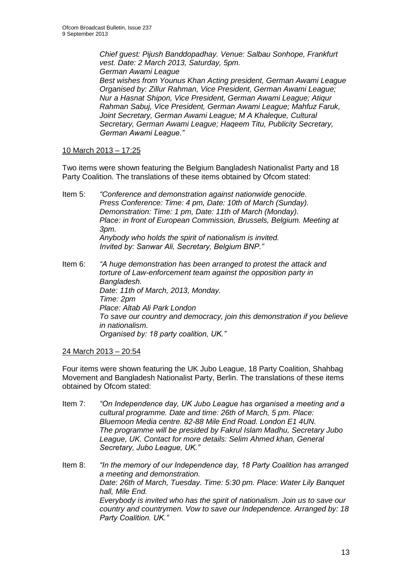*Chief guest: Pijush Banddopadhay. Venue: Salbau Sonhope, Frankfurt vest. Date: 2 March 2013, Saturday, 5pm. German Awami League Best wishes from Younus Khan Acting president, German Awami League Organised by: Zillur Rahman, Vice President, German Awami League; Nur a Hasnat Shipon, Vice President, German Awami League; Atiqur Rahman Sabuj, Vice President, German Awami League; Mahfuz Faruk,* 

*Joint Secretary, German Awami League; M A Khaleque, Cultural Secretary, German Awami League; Haqeem Titu, Publicity Secretary, German Awami League."*

## 10 March 2013 – 17:25

Two items were shown featuring the Belgium Bangladesh Nationalist Party and 18 Party Coalition. The translations of these items obtained by Ofcom stated:

Item 5: *"Conference and demonstration against nationwide genocide. Press Conference: Time: 4 pm, Date: 10th of March (Sunday). Demonstration: Time: 1 pm, Date: 11th of March (Monday). Place: in front of European Commission, Brussels, Belgium. Meeting at 3pm. Anybody who holds the spirit of nationalism is invited. Invited by: Sanwar Ali, Secretary, Belgium BNP."*

Item 6: *"A huge demonstration has been arranged to protest the attack and torture of Law-enforcement team against the opposition party in Bangladesh. Date: 11th of March, 2013, Monday. Time: 2pm Place: Altab Ali Park London To save our country and democracy, join this demonstration if you believe in nationalism. Organised by: 18 party coalition, UK."*

## 24 March 2013 – 20:54

Four items were shown featuring the UK Jubo League, 18 Party Coalition, Shahbag Movement and Bangladesh Nationalist Party, Berlin. The translations of these items obtained by Ofcom stated:

- Item 7: *"On Independence day, UK Jubo League has organised a meeting and a cultural programme. Date and time: 26th of March, 5 pm. Place: Bluemoon Media centre. 82-88 Mile End Road. London E1 4UN. The programme will be presided by Fakrul Islam Madhu, Secretary Jubo League, UK. Contact for more details: Selim Ahmed khan, General Secretary, Jubo League, UK."*
- Item 8: *"In the memory of our Independence day, 18 Party Coalition has arranged a meeting and demonstration. Date: 26th of March, Tuesday. Time: 5:30 pm. Place: Water Lily Banquet hall, Mile End. Everybody is invited who has the spirit of nationalism. Join us to save our country and countrymen. Vow to save our Independence. Arranged by: 18 Party Coalition. UK."*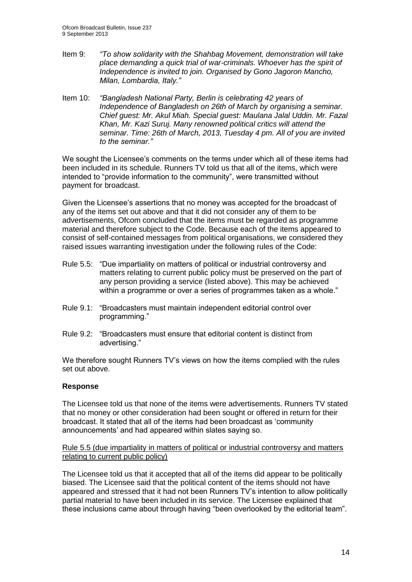- Item 9: *"To show solidarity with the Shahbag Movement, demonstration will take place demanding a quick trial of war-criminals. Whoever has the spirit of Independence is invited to join. Organised by Gono Jagoron Mancho, Milan, Lombardia, Italy."*
- Item 10: *"Bangladesh National Party, Berlin is celebrating 42 years of Independence of Bangladesh on 26th of March by organising a seminar. Chief guest: Mr. Akul Miah. Special guest: Maulana Jalal Uddin. Mr. Fazal Khan, Mr. Kazi Suruj. Many renowned political critics will attend the seminar. Time: 26th of March, 2013, Tuesday 4 pm. All of you are invited to the seminar."*

We sought the Licensee's comments on the terms under which all of these items had been included in its schedule. Runners TV told us that all of the items, which were intended to "provide information to the community", were transmitted without payment for broadcast.

Given the Licensee's assertions that no money was accepted for the broadcast of any of the items set out above and that it did not consider any of them to be advertisements, Ofcom concluded that the items must be regarded as programme material and therefore subject to the Code. Because each of the items appeared to consist of self-contained messages from political organisations, we considered they raised issues warranting investigation under the following rules of the Code:

- Rule 5.5: "Due impartiality on matters of political or industrial controversy and matters relating to current public policy must be preserved on the part of any person providing a service (listed above). This may be achieved within a programme or over a series of programmes taken as a whole."
- Rule 9.1: "Broadcasters must maintain independent editorial control over programming."
- Rule 9.2: "Broadcasters must ensure that editorial content is distinct from advertising."

We therefore sought Runners TV's views on how the items complied with the rules set out above.

## **Response**

The Licensee told us that none of the items were advertisements. Runners TV stated that no money or other consideration had been sought or offered in return for their broadcast. It stated that all of the items had been broadcast as 'community announcements' and had appeared within slates saying so.

#### Rule 5.5 (due impartiality in matters of political or industrial controversy and matters relating to current public policy)

The Licensee told us that it accepted that all of the items did appear to be politically biased. The Licensee said that the political content of the items should not have appeared and stressed that it had not been Runners TV's intention to allow politically partial material to have been included in its service. The Licensee explained that these inclusions came about through having "been overlooked by the editorial team".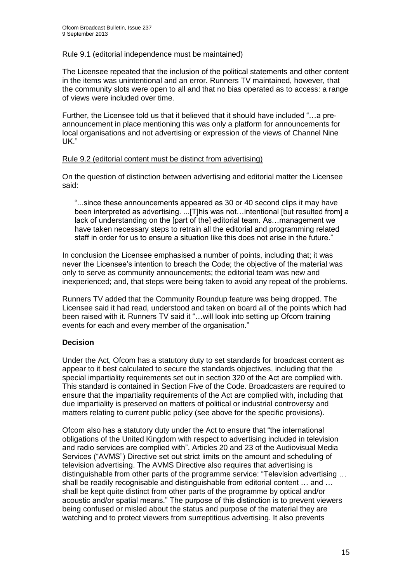#### Rule 9.1 (editorial independence must be maintained)

The Licensee repeated that the inclusion of the political statements and other content in the items was unintentional and an error. Runners TV maintained, however, that the community slots were open to all and that no bias operated as to access: a range of views were included over time.

Further, the Licensee told us that it believed that it should have included "…a preannouncement in place mentioning this was only a platform for announcements for local organisations and not advertising or expression of the views of Channel Nine UK."

#### Rule 9.2 (editorial content must be distinct from advertising)

On the question of distinction between advertising and editorial matter the Licensee said:

"...since these announcements appeared as 30 or 40 second clips it may have been interpreted as advertising. ...[T]his was not...intentional [but resulted from] a lack of understanding on the [part of the] editorial team. As…management we have taken necessary steps to retrain all the editorial and programming related staff in order for us to ensure a situation like this does not arise in the future."

In conclusion the Licensee emphasised a number of points, including that; it was never the Licensee's intention to breach the Code; the objective of the material was only to serve as community announcements; the editorial team was new and inexperienced; and, that steps were being taken to avoid any repeat of the problems.

Runners TV added that the Community Roundup feature was being dropped. The Licensee said it had read, understood and taken on board all of the points which had been raised with it. Runners TV said it "…will look into setting up Ofcom training events for each and every member of the organisation."

## **Decision**

Under the Act, Ofcom has a statutory duty to set standards for broadcast content as appear to it best calculated to secure the standards objectives, including that the special impartiality requirements set out in section 320 of the Act are complied with. This standard is contained in Section Five of the Code. Broadcasters are required to ensure that the impartiality requirements of the Act are complied with, including that due impartiality is preserved on matters of political or industrial controversy and matters relating to current public policy (see above for the specific provisions).

Ofcom also has a statutory duty under the Act to ensure that "the international obligations of the United Kingdom with respect to advertising included in television and radio services are complied with". Articles 20 and 23 of the Audiovisual Media Services ("AVMS") Directive set out strict limits on the amount and scheduling of television advertising. The AVMS Directive also requires that advertising is distinguishable from other parts of the programme service: "Television advertising … shall be readily recognisable and distinguishable from editorial content … and … shall be kept quite distinct from other parts of the programme by optical and/or acoustic and/or spatial means." The purpose of this distinction is to prevent viewers being confused or misled about the status and purpose of the material they are watching and to protect viewers from surreptitious advertising. It also prevents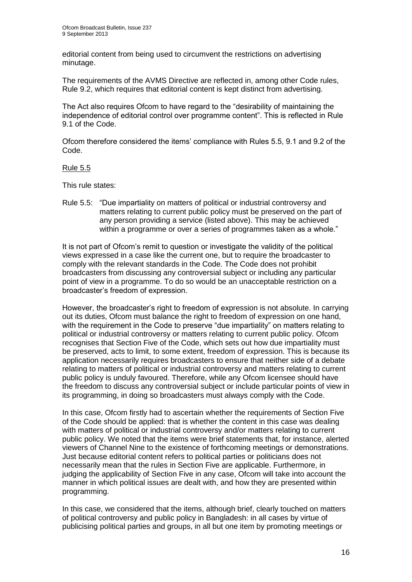editorial content from being used to circumvent the restrictions on advertising minutage.

The requirements of the AVMS Directive are reflected in, among other Code rules, Rule 9.2, which requires that editorial content is kept distinct from advertising.

The Act also requires Ofcom to have regard to the "desirability of maintaining the independence of editorial control over programme content". This is reflected in Rule 9.1 of the Code.

Ofcom therefore considered the items' compliance with Rules 5.5, 9.1 and 9.2 of the Code.

#### Rule 5.5

This rule states:

Rule 5.5: "Due impartiality on matters of political or industrial controversy and matters relating to current public policy must be preserved on the part of any person providing a service (listed above). This may be achieved within a programme or over a series of programmes taken as a whole."

It is not part of Ofcom's remit to question or investigate the validity of the political views expressed in a case like the current one, but to require the broadcaster to comply with the relevant standards in the Code. The Code does not prohibit broadcasters from discussing any controversial subject or including any particular point of view in a programme. To do so would be an unacceptable restriction on a broadcaster's freedom of expression.

However, the broadcaster's right to freedom of expression is not absolute. In carrying out its duties, Ofcom must balance the right to freedom of expression on one hand, with the requirement in the Code to preserve "due impartiality" on matters relating to political or industrial controversy or matters relating to current public policy. Ofcom recognises that Section Five of the Code, which sets out how due impartiality must be preserved, acts to limit, to some extent, freedom of expression. This is because its application necessarily requires broadcasters to ensure that neither side of a debate relating to matters of political or industrial controversy and matters relating to current public policy is unduly favoured. Therefore, while any Ofcom licensee should have the freedom to discuss any controversial subject or include particular points of view in its programming, in doing so broadcasters must always comply with the Code.

In this case, Ofcom firstly had to ascertain whether the requirements of Section Five of the Code should be applied: that is whether the content in this case was dealing with matters of political or industrial controversy and/or matters relating to current public policy. We noted that the items were brief statements that, for instance, alerted viewers of Channel Nine to the existence of forthcoming meetings or demonstrations. Just because editorial content refers to political parties or politicians does not necessarily mean that the rules in Section Five are applicable. Furthermore, in judging the applicability of Section Five in any case, Ofcom will take into account the manner in which political issues are dealt with, and how they are presented within programming.

In this case, we considered that the items, although brief, clearly touched on matters of political controversy and public policy in Bangladesh: in all cases by virtue of publicising political parties and groups, in all but one item by promoting meetings or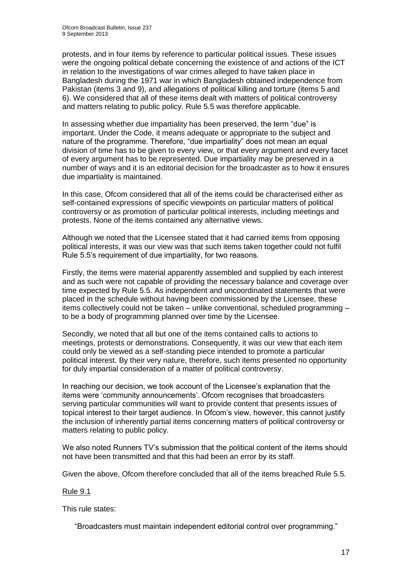protests, and in four items by reference to particular political issues. These issues were the ongoing political debate concerning the existence of and actions of the ICT in relation to the investigations of war crimes alleged to have taken place in Bangladesh during the 1971 war in which Bangladesh obtained independence from Pakistan (items 3 and 9), and allegations of political killing and torture (items 5 and 6). We considered that all of these items dealt with matters of political controversy and matters relating to public policy. Rule 5.5 was therefore applicable.

In assessing whether due impartiality has been preserved, the term "due" is important. Under the Code, it means adequate or appropriate to the subject and nature of the programme. Therefore, "due impartiality" does not mean an equal division of time has to be given to every view, or that every argument and every facet of every argument has to be represented. Due impartiality may be preserved in a number of ways and it is an editorial decision for the broadcaster as to how it ensures due impartiality is maintained.

In this case, Ofcom considered that all of the items could be characterised either as self-contained expressions of specific viewpoints on particular matters of political controversy or as promotion of particular political interests, including meetings and protests. None of the items contained any alternative views.

Although we noted that the Licensee stated that it had carried items from opposing political interests, it was our view was that such items taken together could not fulfil Rule 5.5's requirement of due impartiality, for two reasons.

Firstly, the items were material apparently assembled and supplied by each interest and as such were not capable of providing the necessary balance and coverage over time expected by Rule 5.5. As independent and uncoordinated statements that were placed in the schedule without having been commissioned by the Licensee, these items collectively could not be taken – unlike conventional, scheduled programming – to be a body of programming planned over time by the Licensee.

Secondly, we noted that all but one of the items contained calls to actions to meetings, protests or demonstrations. Consequently, it was our view that each item could only be viewed as a self-standing piece intended to promote a particular political interest. By their very nature, therefore, such items presented no opportunity for duly impartial consideration of a matter of political controversy.

In reaching our decision, we took account of the Licensee's explanation that the items were 'community announcements'. Ofcom recognises that broadcasters serving particular communities will want to provide content that presents issues of topical interest to their target audience. In Ofcom's view, however, this cannot justify the inclusion of inherently partial items concerning matters of political controversy or matters relating to public policy.

We also noted Runners TV's submission that the political content of the items should not have been transmitted and that this had been an error by its staff.

Given the above, Ofcom therefore concluded that all of the items breached Rule 5.5.

#### Rule 9.1

This rule states:

"Broadcasters must maintain independent editorial control over programming."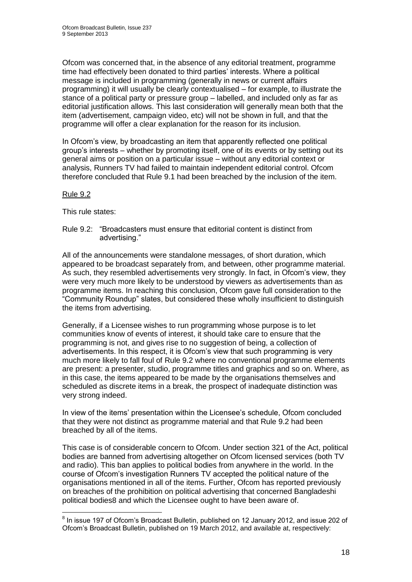Ofcom was concerned that, in the absence of any editorial treatment, programme time had effectively been donated to third parties' interests. Where a political message is included in programming (generally in news or current affairs programming) it will usually be clearly contextualised – for example, to illustrate the stance of a political party or pressure group – labelled, and included only as far as editorial iustification allows. This last consideration will generally mean both that the item (advertisement, campaign video, etc) will not be shown in full, and that the programme will offer a clear explanation for the reason for its inclusion.

In Ofcom's view, by broadcasting an item that apparently reflected one political group's interests – whether by promoting itself, one of its events or by setting out its general aims or position on a particular issue – without any editorial context or analysis, Runners TV had failed to maintain independent editorial control. Ofcom therefore concluded that Rule 9.1 had been breached by the inclusion of the item.

## Rule 9.2

This rule states:

Rule 9.2: "Broadcasters must ensure that editorial content is distinct from advertising."

All of the announcements were standalone messages, of short duration, which appeared to be broadcast separately from, and between, other programme material. As such, they resembled advertisements very strongly. In fact, in Ofcom's view, they were very much more likely to be understood by viewers as advertisements than as programme items. In reaching this conclusion, Ofcom gave full consideration to the "Community Roundup" slates, but considered these wholly insufficient to distinguish the items from advertising.

Generally, if a Licensee wishes to run programming whose purpose is to let communities know of events of interest, it should take care to ensure that the programming is not, and gives rise to no suggestion of being, a collection of advertisements. In this respect, it is Ofcom's view that such programming is very much more likely to fall foul of Rule 9.2 where no conventional programme elements are present: a presenter, studio, programme titles and graphics and so on. Where, as in this case, the items appeared to be made by the organisations themselves and scheduled as discrete items in a break, the prospect of inadequate distinction was very strong indeed.

In view of the items' presentation within the Licensee's schedule, Ofcom concluded that they were not distinct as programme material and that Rule 9.2 had been breached by all of the items.

This case is of considerable concern to Ofcom. Under section 321 of the Act, political bodies are banned from advertising altogether on Ofcom licensed services (both TV and radio). This ban applies to political bodies from anywhere in the world. In the course of Ofcom's investigation Runners TV accepted the political nature of the organisations mentioned in all of the items. Further, Ofcom has reported previously on breaches of the prohibition on political advertising that concerned Bangladeshi political bodies8 and which the Licensee ought to have been aware of.

 8 In issue 197 of Ofcom's Broadcast Bulletin, published on 12 January 2012, and issue 202 of Ofcom's Broadcast Bulletin, published on 19 March 2012, and available at, respectively: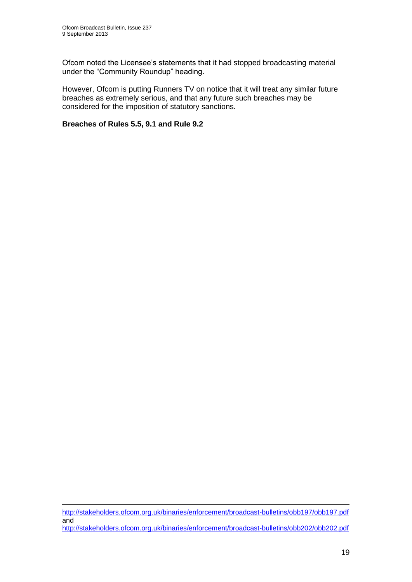1

Ofcom noted the Licensee's statements that it had stopped broadcasting material under the "Community Roundup" heading.

However, Ofcom is putting Runners TV on notice that it will treat any similar future breaches as extremely serious, and that any future such breaches may be considered for the imposition of statutory sanctions.

## **Breaches of Rules 5.5, 9.1 and Rule 9.2**

<http://stakeholders.ofcom.org.uk/binaries/enforcement/broadcast-bulletins/obb197/obb197.pdf> and <http://stakeholders.ofcom.org.uk/binaries/enforcement/broadcast-bulletins/obb202/obb202.pdf>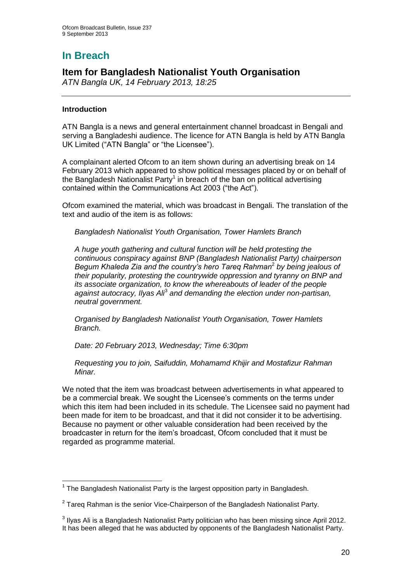# **In Breach**

## **Item for Bangladesh Nationalist Youth Organisation**

*ATN Bangla UK, 14 February 2013, 18:25*

## **Introduction**

ATN Bangla is a news and general entertainment channel broadcast in Bengali and serving a Bangladeshi audience. The licence for ATN Bangla is held by ATN Bangla UK Limited ("ATN Bangla" or "the Licensee").

A complainant alerted Ofcom to an item shown during an advertising break on 14 February 2013 which appeared to show political messages placed by or on behalf of the Bangladesh Nationalist Party<sup>1</sup> in breach of the ban on political advertising contained within the Communications Act 2003 ("the Act").

Ofcom examined the material, which was broadcast in Bengali. The translation of the text and audio of the item is as follows:

*Bangladesh Nationalist Youth Organisation, Tower Hamlets Branch*

*A huge youth gathering and cultural function will be held protesting the continuous conspiracy against BNP (Bangladesh Nationalist Party) chairperson Begum Khaleda Zia and the country's hero Tareq Rahman*<sup>2</sup> *by being jealous of their popularity, protesting the countrywide oppression and tyranny on BNP and its associate organization, to know the whereabouts of leader of the people*  against autocracy, Ilyas Ali<sup>3</sup> and demanding the election under non-partisan, *neutral government.* 

*Organised by Bangladesh Nationalist Youth Organisation, Tower Hamlets Branch.* 

*Date: 20 February 2013, Wednesday; Time 6:30pm*

*Requesting you to join, Saifuddin, Mohamamd Khijir and Mostafizur Rahman Minar.*

We noted that the item was broadcast between advertisements in what appeared to be a commercial break. We sought the Licensee's comments on the terms under which this item had been included in its schedule. The Licensee said no payment had been made for item to be broadcast, and that it did not consider it to be advertising. Because no payment or other valuable consideration had been received by the broadcaster in return for the item's broadcast, Ofcom concluded that it must be regarded as programme material.

<sup>1</sup>  $1$  The Bangladesh Nationalist Party is the largest opposition party in Bangladesh.

 $2$  Tareq Rahman is the senior Vice-Chairperson of the Bangladesh Nationalist Party.

 $3$  Ilyas Ali is a Bangladesh Nationalist Party politician who has been missing since April 2012. It has been alleged that he was abducted by opponents of the Bangladesh Nationalist Party.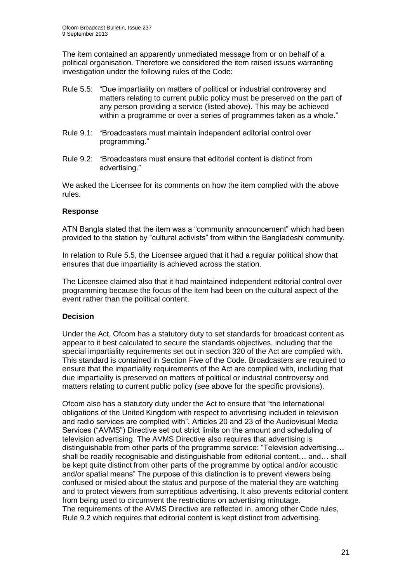The item contained an apparently unmediated message from or on behalf of a political organisation. Therefore we considered the item raised issues warranting investigation under the following rules of the Code:

- Rule 5.5: "Due impartiality on matters of political or industrial controversy and matters relating to current public policy must be preserved on the part of any person providing a service (listed above). This may be achieved within a programme or over a series of programmes taken as a whole."
- Rule 9.1: "Broadcasters must maintain independent editorial control over programming."
- Rule 9.2: "Broadcasters must ensure that editorial content is distinct from advertising."

We asked the Licensee for its comments on how the item complied with the above rules.

## **Response**

ATN Bangla stated that the item was a "community announcement" which had been provided to the station by "cultural activists" from within the Bangladeshi community.

In relation to Rule 5.5, the Licensee argued that it had a regular political show that ensures that due impartiality is achieved across the station.

The Licensee claimed also that it had maintained independent editorial control over programming because the focus of the item had been on the cultural aspect of the event rather than the political content.

## **Decision**

Under the Act, Ofcom has a statutory duty to set standards for broadcast content as appear to it best calculated to secure the standards objectives, including that the special impartiality requirements set out in section 320 of the Act are complied with. This standard is contained in Section Five of the Code. Broadcasters are required to ensure that the impartiality requirements of the Act are complied with, including that due impartiality is preserved on matters of political or industrial controversy and matters relating to current public policy (see above for the specific provisions).

Ofcom also has a statutory duty under the Act to ensure that "the international obligations of the United Kingdom with respect to advertising included in television and radio services are complied with". Articles 20 and 23 of the Audiovisual Media Services ("AVMS") Directive set out strict limits on the amount and scheduling of television advertising. The AVMS Directive also requires that advertising is distinguishable from other parts of the programme service: "Television advertising… shall be readily recognisable and distinguishable from editorial content… and… shall be kept quite distinct from other parts of the programme by optical and/or acoustic and/or spatial means" The purpose of this distinction is to prevent viewers being confused or misled about the status and purpose of the material they are watching and to protect viewers from surreptitious advertising. It also prevents editorial content from being used to circumvent the restrictions on advertising minutage. The requirements of the AVMS Directive are reflected in, among other Code rules, Rule 9.2 which requires that editorial content is kept distinct from advertising.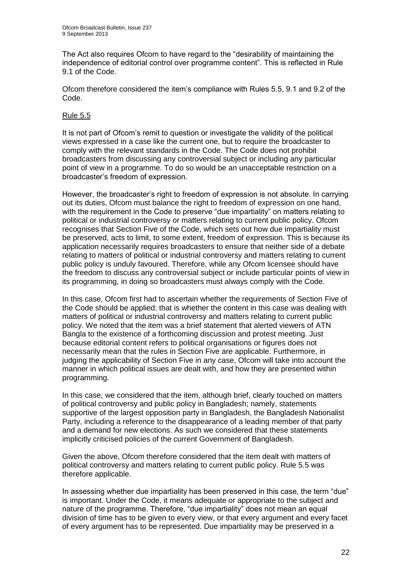The Act also requires Ofcom to have regard to the "desirability of maintaining the independence of editorial control over programme content". This is reflected in Rule 9.1 of the Code.

Ofcom therefore considered the item's compliance with Rules 5.5, 9.1 and 9.2 of the Code.

## Rule 5.5

It is not part of Ofcom's remit to question or investigate the validity of the political views expressed in a case like the current one, but to require the broadcaster to comply with the relevant standards in the Code. The Code does not prohibit broadcasters from discussing any controversial subject or including any particular point of view in a programme. To do so would be an unacceptable restriction on a broadcaster's freedom of expression.

However, the broadcaster's right to freedom of expression is not absolute. In carrying out its duties, Ofcom must balance the right to freedom of expression on one hand, with the requirement in the Code to preserve "due impartiality" on matters relating to political or industrial controversy or matters relating to current public policy. Ofcom recognises that Section Five of the Code, which sets out how due impartiality must be preserved, acts to limit, to some extent, freedom of expression. This is because its application necessarily requires broadcasters to ensure that neither side of a debate relating to matters of political or industrial controversy and matters relating to current public policy is unduly favoured. Therefore, while any Ofcom licensee should have the freedom to discuss any controversial subject or include particular points of view in its programming, in doing so broadcasters must always comply with the Code.

In this case, Ofcom first had to ascertain whether the requirements of Section Five of the Code should be applied: that is whether the content in this case was dealing with matters of political or industrial controversy and matters relating to current public policy. We noted that the item was a brief statement that alerted viewers of ATN Bangla to the existence of a forthcoming discussion and protest meeting. Just because editorial content refers to political organisations or figures does not necessarily mean that the rules in Section Five are applicable. Furthermore, in judging the applicability of Section Five in any case, Ofcom will take into account the manner in which political issues are dealt with, and how they are presented within programming.

In this case, we considered that the item, although brief, clearly touched on matters of political controversy and public policy in Bangladesh; namely, statements supportive of the largest opposition party in Bangladesh, the Bangladesh Nationalist Party, including a reference to the disappearance of a leading member of that party and a demand for new elections. As such we considered that these statements implicitly criticised policies of the current Government of Bangladesh.

Given the above, Ofcom therefore considered that the item dealt with matters of political controversy and matters relating to current public policy. Rule 5.5 was therefore applicable.

In assessing whether due impartiality has been preserved in this case, the term "due" is important. Under the Code, it means adequate or appropriate to the subject and nature of the programme. Therefore, "due impartiality" does not mean an equal division of time has to be given to every view, or that every argument and every facet of every argument has to be represented. Due impartiality may be preserved in a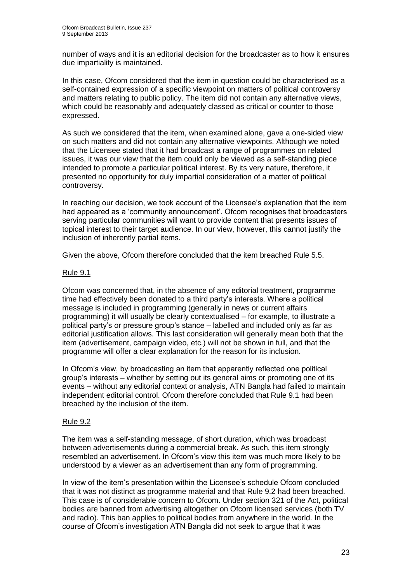number of ways and it is an editorial decision for the broadcaster as to how it ensures due impartiality is maintained.

In this case, Ofcom considered that the item in question could be characterised as a self-contained expression of a specific viewpoint on matters of political controversy and matters relating to public policy. The item did not contain any alternative views, which could be reasonably and adequately classed as critical or counter to those expressed.

As such we considered that the item, when examined alone, gave a one-sided view on such matters and did not contain any alternative viewpoints. Although we noted that the Licensee stated that it had broadcast a range of programmes on related issues, it was our view that the item could only be viewed as a self-standing piece intended to promote a particular political interest. By its very nature, therefore, it presented no opportunity for duly impartial consideration of a matter of political controversy.

In reaching our decision, we took account of the Licensee's explanation that the item had appeared as a 'community announcement'. Ofcom recognises that broadcasters serving particular communities will want to provide content that presents issues of topical interest to their target audience. In our view, however, this cannot justify the inclusion of inherently partial items.

Given the above, Ofcom therefore concluded that the item breached Rule 5.5.

## Rule 9.1

Ofcom was concerned that, in the absence of any editorial treatment, programme time had effectively been donated to a third party's interests. Where a political message is included in programming (generally in news or current affairs programming) it will usually be clearly contextualised – for example, to illustrate a political party's or pressure group's stance – labelled and included only as far as editorial justification allows. This last consideration will generally mean both that the item (advertisement, campaign video, etc.) will not be shown in full, and that the programme will offer a clear explanation for the reason for its inclusion.

In Ofcom's view, by broadcasting an item that apparently reflected one political group's interests – whether by setting out its general aims or promoting one of its events – without any editorial context or analysis, ATN Bangla had failed to maintain independent editorial control. Ofcom therefore concluded that Rule 9.1 had been breached by the inclusion of the item.

## Rule 9.2

The item was a self-standing message, of short duration, which was broadcast between advertisements during a commercial break. As such, this item strongly resembled an advertisement. In Ofcom's view this item was much more likely to be understood by a viewer as an advertisement than any form of programming.

In view of the item's presentation within the Licensee's schedule Ofcom concluded that it was not distinct as programme material and that Rule 9.2 had been breached. This case is of considerable concern to Ofcom. Under section 321 of the Act, political bodies are banned from advertising altogether on Ofcom licensed services (both TV and radio). This ban applies to political bodies from anywhere in the world. In the course of Ofcom's investigation ATN Bangla did not seek to argue that it was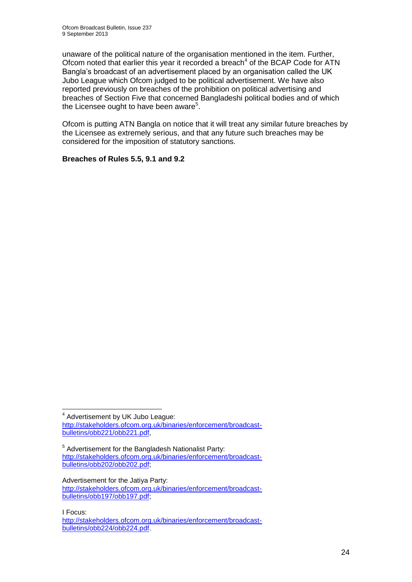unaware of the political nature of the organisation mentioned in the item. Further, Ofcom noted that earlier this year it recorded a breach $4$  of the BCAP Code for ATN Bangla's broadcast of an advertisement placed by an organisation called the UK Jubo League which Ofcom judged to be political advertisement. We have also reported previously on breaches of the prohibition on political advertising and breaches of Section Five that concerned Bangladeshi political bodies and of which the Licensee ought to have been aware<sup>5</sup>.

Ofcom is putting ATN Bangla on notice that it will treat any similar future breaches by the Licensee as extremely serious, and that any future such breaches may be considered for the imposition of statutory sanctions.

## **Breaches of Rules 5.5, 9.1 and 9.2**

Advertisement for the Jatiya Party: [http://stakeholders.ofcom.org.uk/binaries/enforcement/broadcast](http://stakeholders.ofcom.org.uk/binaries/enforcement/broadcast-bulletins/obb197/obb197.pdf)[bulletins/obb197/obb197.pdf;](http://stakeholders.ofcom.org.uk/binaries/enforcement/broadcast-bulletins/obb197/obb197.pdf)

I Focus:

<sup>1</sup> <sup>4</sup> Advertisement by UK Jubo League: [http://stakeholders.ofcom.org.uk/binaries/enforcement/broadcast](http://stakeholders.ofcom.org.uk/binaries/enforcement/broadcast-bulletins/obb221/obb221.pdf)[bulletins/obb221/obb221.pdf,](http://stakeholders.ofcom.org.uk/binaries/enforcement/broadcast-bulletins/obb221/obb221.pdf)

<sup>&</sup>lt;sup>5</sup> Advertisement for the Bangladesh Nationalist Party: [http://stakeholders.ofcom.org.uk/binaries/enforcement/broadcast](http://stakeholders.ofcom.org.uk/binaries/enforcement/broadcast-bulletins/obb202/obb202.pdf)[bulletins/obb202/obb202.pdf;](http://stakeholders.ofcom.org.uk/binaries/enforcement/broadcast-bulletins/obb202/obb202.pdf)

[http://stakeholders.ofcom.org.uk/binaries/enforcement/broadcast](http://stakeholders.ofcom.org.uk/binaries/enforcement/broadcast-bulletins/obb224/obb224.pdf)[bulletins/obb224/obb224.pdf.](http://stakeholders.ofcom.org.uk/binaries/enforcement/broadcast-bulletins/obb224/obb224.pdf)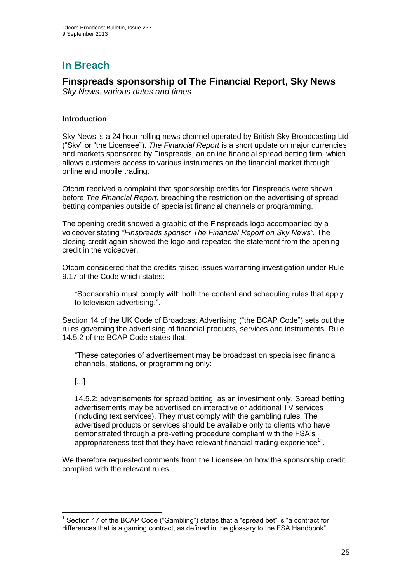# **In Breach**

## **Finspreads sponsorship of The Financial Report, Sky News**

*Sky News, various dates and times*

## **Introduction**

Sky News is a 24 hour rolling news channel operated by British Sky Broadcasting Ltd ("Sky" or "the Licensee"). *The Financial Report* is a short update on major currencies and markets sponsored by Finspreads, an online financial spread betting firm, which allows customers access to various instruments on the financial market through online and mobile trading.

Ofcom received a complaint that sponsorship credits for Finspreads were shown before *The Financial Report*, breaching the restriction on the advertising of spread betting companies outside of specialist financial channels or programming.

The opening credit showed a graphic of the Finspreads logo accompanied by a voiceover stating *"Finspreads sponsor The Financial Report on Sky News"*. The closing credit again showed the logo and repeated the statement from the opening credit in the voiceover.

Ofcom considered that the credits raised issues warranting investigation under Rule 9.17 of the Code which states:

"Sponsorship must comply with both the content and scheduling rules that apply to television advertising.".

Section 14 of the UK Code of Broadcast Advertising ("the BCAP Code") sets out the rules governing the advertising of financial products, services and instruments. Rule 14.5.2 of the BCAP Code states that:

"These categories of advertisement may be broadcast on specialised financial channels, stations, or programming only:

## [...]

1

14.5.2: advertisements for spread betting, as an investment only. Spread betting advertisements may be advertised on interactive or additional TV services (including text services). They must comply with the gambling rules. The advertised products or services should be available only to clients who have demonstrated through a pre-vetting procedure compliant with the FSA's appropriateness test that they have relevant financial trading experience<sup>1</sup>".

We therefore requested comments from the Licensee on how the sponsorship credit complied with the relevant rules.

<sup>&</sup>lt;sup>1</sup> Section 17 of the BCAP Code ("Gambling") states that a "spread bet" is "a contract for differences that is a gaming contract, as defined in the glossary to the FSA Handbook".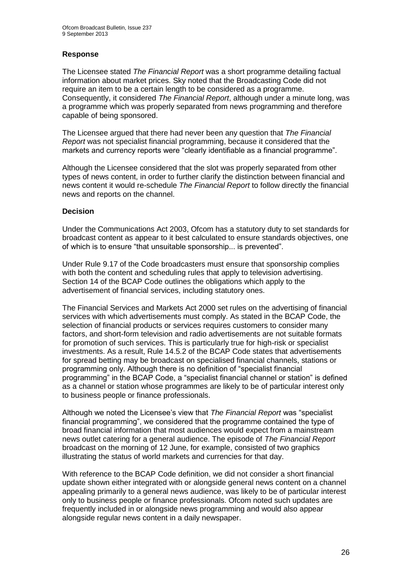## **Response**

The Licensee stated *The Financial Report* was a short programme detailing factual information about market prices. Sky noted that the Broadcasting Code did not require an item to be a certain length to be considered as a programme. Consequently, it considered *The Financial Report*, although under a minute long, was a programme which was properly separated from news programming and therefore capable of being sponsored.

The Licensee argued that there had never been any question that *The Financial Report* was not specialist financial programming, because it considered that the markets and currency reports were "clearly identifiable as a financial programme".

Although the Licensee considered that the slot was properly separated from other types of news content, in order to further clarify the distinction between financial and news content it would re-schedule *The Financial Report* to follow directly the financial news and reports on the channel.

## **Decision**

Under the Communications Act 2003, Ofcom has a statutory duty to set standards for broadcast content as appear to it best calculated to ensure standards objectives, one of which is to ensure "that unsuitable sponsorship... is prevented".

Under Rule 9.17 of the Code broadcasters must ensure that sponsorship complies with both the content and scheduling rules that apply to television advertising. Section 14 of the BCAP Code outlines the obligations which apply to the advertisement of financial services, including statutory ones.

The Financial Services and Markets Act 2000 set rules on the advertising of financial services with which advertisements must comply. As stated in the BCAP Code, the selection of financial products or services requires customers to consider many factors, and short-form television and radio advertisements are not suitable formats for promotion of such services. This is particularly true for high-risk or specialist investments. As a result, Rule 14.5.2 of the BCAP Code states that advertisements for spread betting may be broadcast on specialised financial channels, stations or programming only. Although there is no definition of "specialist financial programming" in the BCAP Code, a "specialist financial channel or station" is defined as a channel or station whose programmes are likely to be of particular interest only to business people or finance professionals.

Although we noted the Licensee's view that *The Financial Report* was "specialist financial programming", we considered that the programme contained the type of broad financial information that most audiences would expect from a mainstream news outlet catering for a general audience. The episode of *The Financial Report*  broadcast on the morning of 12 June, for example, consisted of two graphics illustrating the status of world markets and currencies for that day.

With reference to the BCAP Code definition, we did not consider a short financial update shown either integrated with or alongside general news content on a channel appealing primarily to a general news audience, was likely to be of particular interest only to business people or finance professionals. Ofcom noted such updates are frequently included in or alongside news programming and would also appear alongside regular news content in a daily newspaper.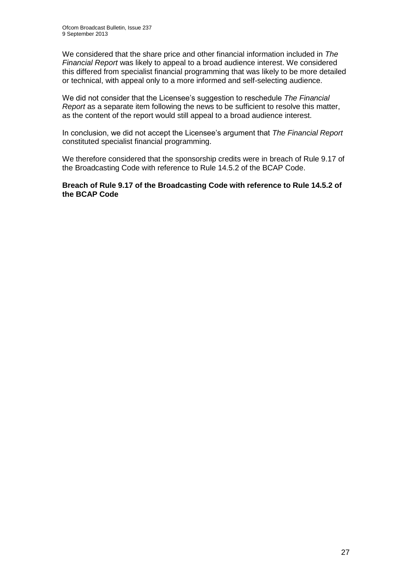We considered that the share price and other financial information included in *The Financial Report* was likely to appeal to a broad audience interest. We considered this differed from specialist financial programming that was likely to be more detailed or technical, with appeal only to a more informed and self-selecting audience.

We did not consider that the Licensee's suggestion to reschedule *The Financial Report* as a separate item following the news to be sufficient to resolve this matter, as the content of the report would still appeal to a broad audience interest.

In conclusion, we did not accept the Licensee's argument that *The Financial Report* constituted specialist financial programming.

We therefore considered that the sponsorship credits were in breach of Rule 9.17 of the Broadcasting Code with reference to Rule 14.5.2 of the BCAP Code.

**Breach of Rule 9.17 of the Broadcasting Code with reference to Rule 14.5.2 of the BCAP Code**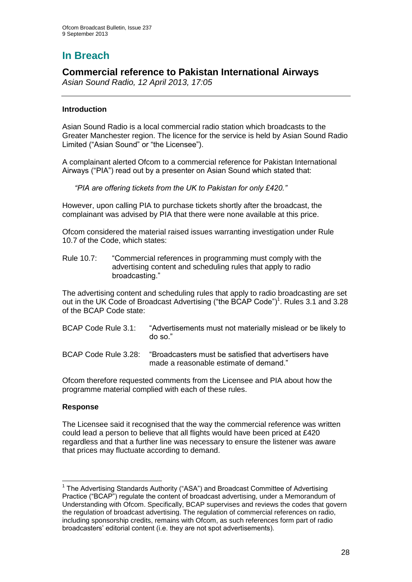# **In Breach**

## **Commercial reference to Pakistan International Airways**

*Asian Sound Radio, 12 April 2013, 17:05*

## **Introduction**

Asian Sound Radio is a local commercial radio station which broadcasts to the Greater Manchester region. The licence for the service is held by Asian Sound Radio Limited ("Asian Sound" or "the Licensee").

A complainant alerted Ofcom to a commercial reference for Pakistan International Airways ("PIA") read out by a presenter on Asian Sound which stated that:

*"PIA are offering tickets from the UK to Pakistan for only £420."*

However, upon calling PIA to purchase tickets shortly after the broadcast, the complainant was advised by PIA that there were none available at this price.

Ofcom considered the material raised issues warranting investigation under Rule 10.7 of the Code, which states:

Rule 10.7: "Commercial references in programming must comply with the advertising content and scheduling rules that apply to radio broadcasting."

The advertising content and scheduling rules that apply to radio broadcasting are set out in the UK Code of Broadcast Advertising ("the BCAP Code")<sup>1</sup>. Rules 3.1 and 3.28 of the BCAP Code state:

| BCAP Code Rule 3.1:  | "Advertisements must not materially mislead or be likely to<br>$d$ o so." |
|----------------------|---------------------------------------------------------------------------|
| RCAP Code Rule 3.28; | "Broadcasters must be satisfied that advertisers have                     |

BCAP Code Rule 3.28: "Broadcasters must be satisfied that advertisers have made a reasonable estimate of demand."

Ofcom therefore requested comments from the Licensee and PIA about how the programme material complied with each of these rules.

## **Response**

1

The Licensee said it recognised that the way the commercial reference was written could lead a person to believe that all flights would have been priced at £420 regardless and that a further line was necessary to ensure the listener was aware that prices may fluctuate according to demand.

<sup>&</sup>lt;sup>1</sup> The Advertising Standards Authority ("ASA") and Broadcast Committee of Advertising Practice ("BCAP") regulate the content of broadcast advertising, under a Memorandum of Understanding with Ofcom. Specifically, BCAP supervises and reviews the codes that govern the regulation of broadcast advertising. The regulation of commercial references on radio, including sponsorship credits, remains with Ofcom, as such references form part of radio broadcasters' editorial content (i.e. they are not spot advertisements).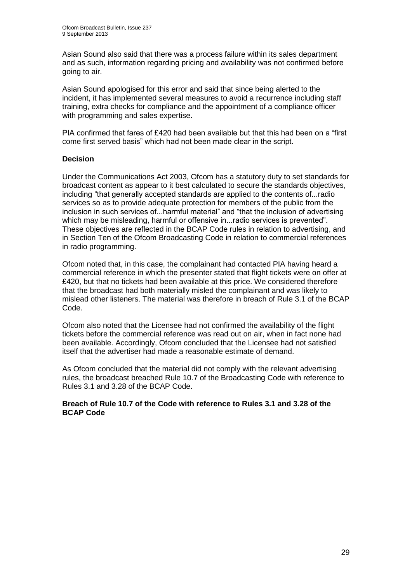Asian Sound also said that there was a process failure within its sales department and as such, information regarding pricing and availability was not confirmed before going to air.

Asian Sound apologised for this error and said that since being alerted to the incident, it has implemented several measures to avoid a recurrence including staff training, extra checks for compliance and the appointment of a compliance officer with programming and sales expertise.

PIA confirmed that fares of £420 had been available but that this had been on a "first come first served basis" which had not been made clear in the script.

## **Decision**

Under the Communications Act 2003, Ofcom has a statutory duty to set standards for broadcast content as appear to it best calculated to secure the standards objectives, including "that generally accepted standards are applied to the contents of...radio services so as to provide adequate protection for members of the public from the inclusion in such services of...harmful material" and "that the inclusion of advertising which may be misleading, harmful or offensive in...radio services is prevented". These objectives are reflected in the BCAP Code rules in relation to advertising, and in Section Ten of the Ofcom Broadcasting Code in relation to commercial references in radio programming.

Ofcom noted that, in this case, the complainant had contacted PIA having heard a commercial reference in which the presenter stated that flight tickets were on offer at £420, but that no tickets had been available at this price. We considered therefore that the broadcast had both materially misled the complainant and was likely to mislead other listeners. The material was therefore in breach of Rule 3.1 of the BCAP Code.

Ofcom also noted that the Licensee had not confirmed the availability of the flight tickets before the commercial reference was read out on air, when in fact none had been available. Accordingly, Ofcom concluded that the Licensee had not satisfied itself that the advertiser had made a reasonable estimate of demand.

As Ofcom concluded that the material did not comply with the relevant advertising rules, the broadcast breached Rule 10.7 of the Broadcasting Code with reference to Rules 3.1 and 3.28 of the BCAP Code.

#### **Breach of Rule 10.7 of the Code with reference to Rules 3.1 and 3.28 of the BCAP Code**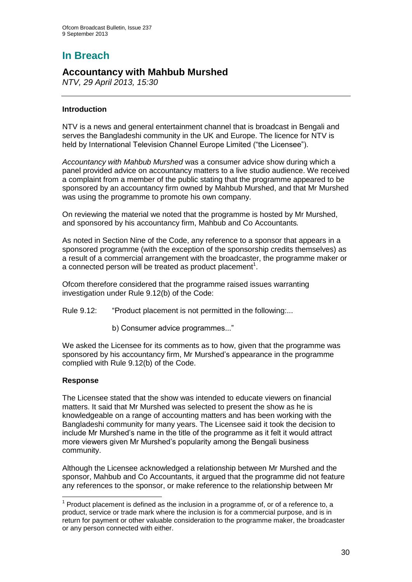# **In Breach**

## **Accountancy with Mahbub Murshed**

*NTV, 29 April 2013, 15:30*

## **Introduction**

NTV is a news and general entertainment channel that is broadcast in Bengali and serves the Bangladeshi community in the UK and Europe. The licence for NTV is held by International Television Channel Europe Limited ("the Licensee").

*Accountancy with Mahbub Murshed* was a consumer advice show during which a panel provided advice on accountancy matters to a live studio audience. We received a complaint from a member of the public stating that the programme appeared to be sponsored by an accountancy firm owned by Mahbub Murshed, and that Mr Murshed was using the programme to promote his own company.

On reviewing the material we noted that the programme is hosted by Mr Murshed, and sponsored by his accountancy firm, Mahbub and Co Accountants*.* 

As noted in Section Nine of the Code, any reference to a sponsor that appears in a sponsored programme (with the exception of the sponsorship credits themselves) as a result of a commercial arrangement with the broadcaster, the programme maker or a connected person will be treated as product placement<sup>1</sup>.

Ofcom therefore considered that the programme raised issues warranting investigation under Rule 9.12(b) of the Code:

Rule 9.12: "Product placement is not permitted in the following:...

b) Consumer advice programmes..."

We asked the Licensee for its comments as to how, given that the programme was sponsored by his accountancy firm, Mr Murshed's appearance in the programme complied with Rule 9.12(b) of the Code.

## **Response**

The Licensee stated that the show was intended to educate viewers on financial matters. It said that Mr Murshed was selected to present the show as he is knowledgeable on a range of accounting matters and has been working with the Bangladeshi community for many years. The Licensee said it took the decision to include Mr Murshed's name in the title of the programme as it felt it would attract more viewers given Mr Murshed's popularity among the Bengali business community.

Although the Licensee acknowledged a relationship between Mr Murshed and the sponsor, Mahbub and Co Accountants, it argued that the programme did not feature any references to the sponsor, or make reference to the relationship between Mr

<sup>1</sup>  $1$  Product placement is defined as the inclusion in a programme of, or of a reference to, a product, service or trade mark where the inclusion is for a commercial purpose, and is in return for payment or other valuable consideration to the programme maker, the broadcaster or any person connected with either.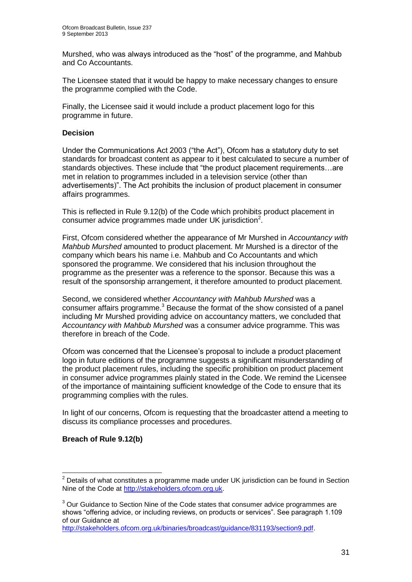Murshed, who was always introduced as the "host" of the programme, and Mahbub and Co Accountants.

The Licensee stated that it would be happy to make necessary changes to ensure the programme complied with the Code.

Finally, the Licensee said it would include a product placement logo for this programme in future.

## **Decision**

Under the Communications Act 2003 ("the Act"), Ofcom has a statutory duty to set standards for broadcast content as appear to it best calculated to secure a number of standards objectives. These include that "the product placement requirements…are met in relation to programmes included in a television service (other than advertisements)". The Act prohibits the inclusion of product placement in consumer affairs programmes.

This is reflected in Rule 9.12(b) of the Code which prohibits product placement in consumer advice programmes made under UK jurisdiction<sup>2</sup>.

First, Ofcom considered whether the appearance of Mr Murshed in *Accountancy with Mahbub Murshed* amounted to product placement. Mr Murshed is a director of the company which bears his name i.e. Mahbub and Co Accountants and which sponsored the programme. We considered that his inclusion throughout the programme as the presenter was a reference to the sponsor. Because this was a result of the sponsorship arrangement, it therefore amounted to product placement.

Second, we considered whether *Accountancy with Mahbub Murshed* was a consumer affairs programme. $3$  Because the format of the show consisted of a panel including Mr Murshed providing advice on accountancy matters, we concluded that *Accountancy with Mahbub Murshed* was a consumer advice programme. This was therefore in breach of the Code.

Ofcom was concerned that the Licensee's proposal to include a product placement logo in future editions of the programme suggests a significant misunderstanding of the product placement rules, including the specific prohibition on product placement in consumer advice programmes plainly stated in the Code. We remind the Licensee of the importance of maintaining sufficient knowledge of the Code to ensure that its programming complies with the rules.

In light of our concerns, Ofcom is requesting that the broadcaster attend a meeting to discuss its compliance processes and procedures.

## **Breach of Rule 9.12(b)**

1

 $2$  Details of what constitutes a programme made under UK jurisdiction can be found in Section Nine of the Code at [http://stakeholders.ofcom.org.uk.](http://stakeholders.ofcom.org.uk/)

<sup>&</sup>lt;sup>3</sup> Our Guidance to Section Nine of the Code states that consumer advice programmes are shows "offering advice, or including reviews, on products or services". See paragraph 1.109 of our Guidance at

[http://stakeholders.ofcom.org.uk/binaries/broadcast/guidance/831193/section9.pdf.](http://stakeholders.ofcom.org.uk/binaries/broadcast/guidance/831193/section9.pdf)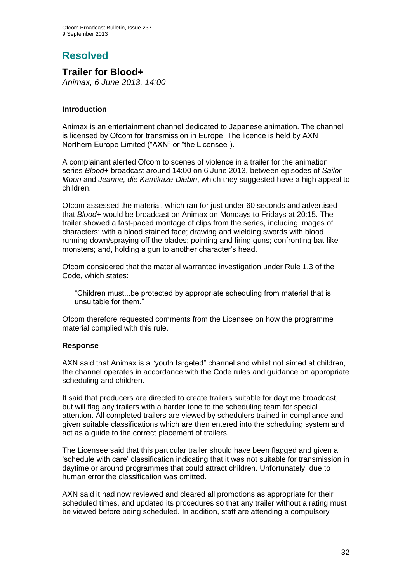# **Resolved**

**Trailer for Blood+**

*Animax, 6 June 2013, 14:00*

## **Introduction**

Animax is an entertainment channel dedicated to Japanese animation. The channel is licensed by Ofcom for transmission in Europe. The licence is held by AXN Northern Europe Limited ("AXN" or "the Licensee").

A complainant alerted Ofcom to scenes of violence in a trailer for the animation series *Blood+* broadcast around 14:00 on 6 June 2013, between episodes of *Sailor Moon* and *Jeanne, die Kamikaze-Diebin*, which they suggested have a high appeal to children.

Ofcom assessed the material, which ran for just under 60 seconds and advertised that *Blood+* would be broadcast on Animax on Mondays to Fridays at 20:15. The trailer showed a fast-paced montage of clips from the series, including images of characters: with a blood stained face; drawing and wielding swords with blood running down/spraying off the blades; pointing and firing guns; confronting bat-like monsters; and, holding a gun to another character's head.

Ofcom considered that the material warranted investigation under Rule 1.3 of the Code, which states:

"Children must...be protected by appropriate scheduling from material that is unsuitable for them."

Ofcom therefore requested comments from the Licensee on how the programme material complied with this rule.

## **Response**

AXN said that Animax is a "youth targeted" channel and whilst not aimed at children, the channel operates in accordance with the Code rules and guidance on appropriate scheduling and children.

It said that producers are directed to create trailers suitable for daytime broadcast, but will flag any trailers with a harder tone to the scheduling team for special attention. All completed trailers are viewed by schedulers trained in compliance and given suitable classifications which are then entered into the scheduling system and act as a guide to the correct placement of trailers.

The Licensee said that this particular trailer should have been flagged and given a 'schedule with care' classification indicating that it was not suitable for transmission in daytime or around programmes that could attract children. Unfortunately, due to human error the classification was omitted.

AXN said it had now reviewed and cleared all promotions as appropriate for their scheduled times, and updated its procedures so that any trailer without a rating must be viewed before being scheduled. In addition, staff are attending a compulsory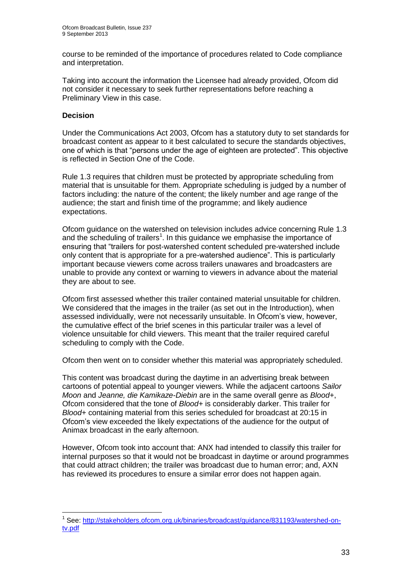course to be reminded of the importance of procedures related to Code compliance and interpretation.

Taking into account the information the Licensee had already provided, Ofcom did not consider it necessary to seek further representations before reaching a Preliminary View in this case.

## **Decision**

1

Under the Communications Act 2003, Ofcom has a statutory duty to set standards for broadcast content as appear to it best calculated to secure the standards objectives, one of which is that "persons under the age of eighteen are protected". This objective is reflected in Section One of the Code.

Rule 1.3 requires that children must be protected by appropriate scheduling from material that is unsuitable for them. Appropriate scheduling is judged by a number of factors including: the nature of the content; the likely number and age range of the audience; the start and finish time of the programme; and likely audience expectations.

Ofcom guidance on the watershed on television includes advice concerning Rule 1.3 and the scheduling of trailers<sup>1</sup>. In this guidance we emphasise the importance of ensuring that "trailers for post-watershed content scheduled pre-watershed include only content that is appropriate for a pre-watershed audience". This is particularly important because viewers come across trailers unawares and broadcasters are unable to provide any context or warning to viewers in advance about the material they are about to see.

Ofcom first assessed whether this trailer contained material unsuitable for children. We considered that the images in the trailer (as set out in the Introduction), when assessed individually, were not necessarily unsuitable. In Ofcom's view, however, the cumulative effect of the brief scenes in this particular trailer was a level of violence unsuitable for child viewers. This meant that the trailer required careful scheduling to comply with the Code.

Ofcom then went on to consider whether this material was appropriately scheduled.

This content was broadcast during the daytime in an advertising break between cartoons of potential appeal to younger viewers. While the adjacent cartoons *Sailor Moon* and *Jeanne, die Kamikaze-Diebin* are in the same overall genre as *Blood+*, Ofcom considered that the tone of *Blood+* is considerably darker. This trailer for *Blood+* containing material from this series scheduled for broadcast at 20:15 in Ofcom's view exceeded the likely expectations of the audience for the output of Animax broadcast in the early afternoon.

However, Ofcom took into account that: ANX had intended to classify this trailer for internal purposes so that it would not be broadcast in daytime or around programmes that could attract children; the trailer was broadcast due to human error; and, AXN has reviewed its procedures to ensure a similar error does not happen again.

<sup>&</sup>lt;sup>1</sup> See: [http://stakeholders.ofcom.org.uk/binaries/broadcast/guidance/831193/watershed-on](http://stakeholders.ofcom.org.uk/binaries/broadcast/guidance/831193/watershed-on-tv.pdf)[tv.pdf](http://stakeholders.ofcom.org.uk/binaries/broadcast/guidance/831193/watershed-on-tv.pdf)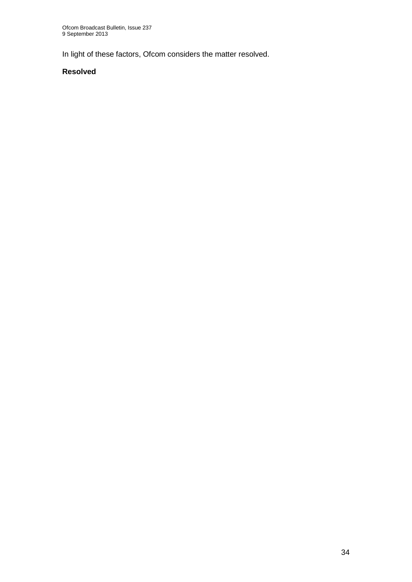In light of these factors, Ofcom considers the matter resolved.

## **Resolved**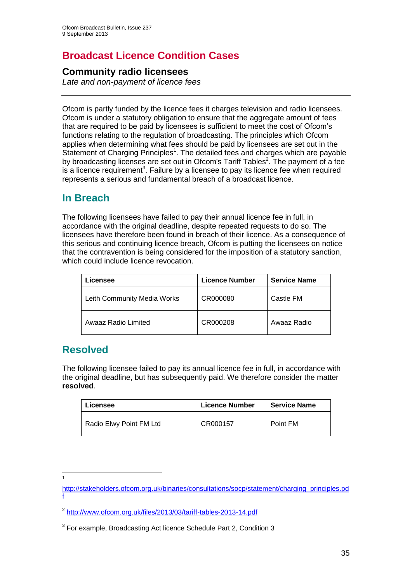# **Broadcast Licence Condition Cases**

## **Community radio licensees**

*Late and non-payment of licence fees* 

Ofcom is partly funded by the licence fees it charges television and radio licensees. Ofcom is under a statutory obligation to ensure that the aggregate amount of fees that are required to be paid by licensees is sufficient to meet the cost of Ofcom's functions relating to the regulation of broadcasting. The principles which Ofcom applies when determining what fees should be paid by licensees are set out in the Statement of Charging Principles<sup>1</sup>. The detailed fees and charges which are payable by broadcasting licenses are set out in Ofcom's Tariff Tables<sup>2</sup>. The payment of a fee is a licence requirement<sup>3</sup>. Failure by a licensee to pay its licence fee when required represents a serious and fundamental breach of a broadcast licence.

## **In Breach**

The following licensees have failed to pay their annual licence fee in full, in accordance with the original deadline, despite repeated requests to do so. The licensees have therefore been found in breach of their licence. As a consequence of this serious and continuing licence breach, Ofcom is putting the licensees on notice that the contravention is being considered for the imposition of a statutory sanction, which could include licence revocation.

| <b>_icensee</b>             | <b>Licence Number</b> | <b>Service Name</b> |
|-----------------------------|-----------------------|---------------------|
| Leith Community Media Works | CR000080              | Castle FM           |
| Awaaz Radio Limited         | CR000208              | Awaaz Radio         |

## **Resolved**

The following licensee failed to pay its annual licence fee in full, in accordance with the original deadline, but has subsequently paid. We therefore consider the matter **resolved**.

| Licensee                | <b>Licence Number</b> | <b>Service Name</b> |
|-------------------------|-----------------------|---------------------|
| Radio Elwy Point FM Ltd | CR000157              | Point FM            |

1 1

[http://stakeholders.ofcom.org.uk/binaries/consultations/socp/statement/charging\\_principles.pd](http://stakeholders.ofcom.org.uk/binaries/consultations/socp/statement/charging_principles.pdf) [f](http://stakeholders.ofcom.org.uk/binaries/consultations/socp/statement/charging_principles.pdf) 

<sup>&</sup>lt;sup>2</sup> <http://www.ofcom.org.uk/files/2013/03/tariff-tables-2013-14.pdf>

 $3$  For example, Broadcasting Act licence Schedule Part 2, Condition 3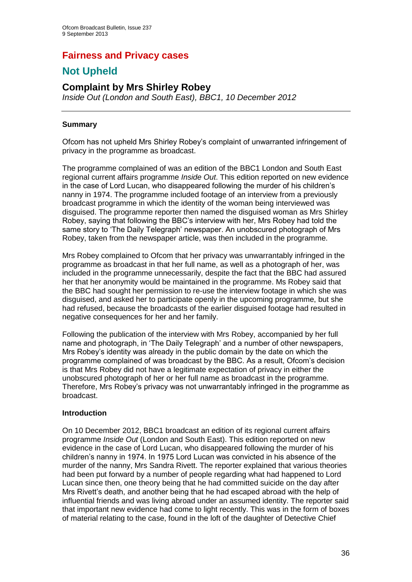## **Fairness and Privacy cases**

# **Not Upheld**

## **Complaint by Mrs Shirley Robey**

*Inside Out (London and South East), BBC1, 10 December 2012*

## **Summary**

Ofcom has not upheld Mrs Shirley Robey's complaint of unwarranted infringement of privacy in the programme as broadcast.

The programme complained of was an edition of the BBC1 London and South East regional current affairs programme *Inside Out*. This edition reported on new evidence in the case of Lord Lucan, who disappeared following the murder of his children's nanny in 1974. The programme included footage of an interview from a previously broadcast programme in which the identity of the woman being interviewed was disguised. The programme reporter then named the disguised woman as Mrs Shirley Robey, saying that following the BBC's interview with her, Mrs Robey had told the same story to 'The Daily Telegraph' newspaper. An unobscured photograph of Mrs Robey, taken from the newspaper article, was then included in the programme.

Mrs Robey complained to Ofcom that her privacy was unwarrantably infringed in the programme as broadcast in that her full name, as well as a photograph of her, was included in the programme unnecessarily, despite the fact that the BBC had assured her that her anonymity would be maintained in the programme. Ms Robey said that the BBC had sought her permission to re-use the interview footage in which she was disguised, and asked her to participate openly in the upcoming programme, but she had refused, because the broadcasts of the earlier disguised footage had resulted in negative consequences for her and her family.

Following the publication of the interview with Mrs Robey, accompanied by her full name and photograph, in 'The Daily Telegraph' and a number of other newspapers, Mrs Robey's identity was already in the public domain by the date on which the programme complained of was broadcast by the BBC. As a result, Ofcom's decision is that Mrs Robey did not have a legitimate expectation of privacy in either the unobscured photograph of her or her full name as broadcast in the programme. Therefore, Mrs Robey's privacy was not unwarrantably infringed in the programme as broadcast.

## **Introduction**

On 10 December 2012, BBC1 broadcast an edition of its regional current affairs programme *Inside Out* (London and South East). This edition reported on new evidence in the case of Lord Lucan, who disappeared following the murder of his children's nanny in 1974. In 1975 Lord Lucan was convicted in his absence of the murder of the nanny, Mrs Sandra Rivett. The reporter explained that various theories had been put forward by a number of people regarding what had happened to Lord Lucan since then, one theory being that he had committed suicide on the day after Mrs Rivett's death, and another being that he had escaped abroad with the help of influential friends and was living abroad under an assumed identity. The reporter said that important new evidence had come to light recently. This was in the form of boxes of material relating to the case, found in the loft of the daughter of Detective Chief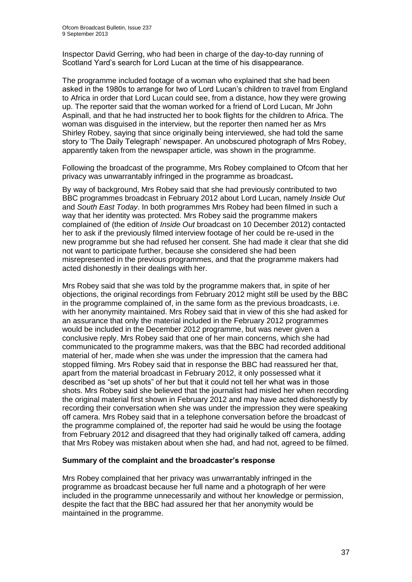Inspector David Gerring, who had been in charge of the day-to-day running of Scotland Yard's search for Lord Lucan at the time of his disappearance.

The programme included footage of a woman who explained that she had been asked in the 1980s to arrange for two of Lord Lucan's children to travel from England to Africa in order that Lord Lucan could see, from a distance, how they were growing up. The reporter said that the woman worked for a friend of Lord Lucan, Mr John Aspinall, and that he had instructed her to book flights for the children to Africa. The woman was disguised in the interview, but the reporter then named her as Mrs Shirley Robey, saying that since originally being interviewed, she had told the same story to 'The Daily Telegraph' newspaper. An unobscured photograph of Mrs Robey, apparently taken from the newspaper article, was shown in the programme.

Following the broadcast of the programme, Mrs Robey complained to Ofcom that her privacy was unwarrantably infringed in the programme as broadcast**.**

By way of background, Mrs Robey said that she had previously contributed to two BBC programmes broadcast in February 2012 about Lord Lucan, namely *Inside Out*  and *South East Today*. In both programmes Mrs Robey had been filmed in such a way that her identity was protected. Mrs Robey said the programme makers complained of (the edition of *Inside Out* broadcast on 10 December 2012) contacted her to ask if the previously filmed interview footage of her could be re-used in the new programme but she had refused her consent. She had made it clear that she did not want to participate further, because she considered she had been misrepresented in the previous programmes, and that the programme makers had acted dishonestly in their dealings with her.

Mrs Robey said that she was told by the programme makers that, in spite of her objections, the original recordings from February 2012 might still be used by the BBC in the programme complained of, in the same form as the previous broadcasts, i.e. with her anonymity maintained. Mrs Robey said that in view of this she had asked for an assurance that only the material included in the February 2012 programmes would be included in the December 2012 programme, but was never given a conclusive reply. Mrs Robey said that one of her main concerns, which she had communicated to the programme makers, was that the BBC had recorded additional material of her, made when she was under the impression that the camera had stopped filming. Mrs Robey said that in response the BBC had reassured her that, apart from the material broadcast in February 2012, it only possessed what it described as "set up shots" of her but that it could not tell her what was in those shots. Mrs Robey said she believed that the journalist had misled her when recording the original material first shown in February 2012 and may have acted dishonestly by recording their conversation when she was under the impression they were speaking off camera. Mrs Robey said that in a telephone conversation before the broadcast of the programme complained of, the reporter had said he would be using the footage from February 2012 and disagreed that they had originally talked off camera, adding that Mrs Robey was mistaken about when she had, and had not, agreed to be filmed.

#### **Summary of the complaint and the broadcaster's response**

Mrs Robey complained that her privacy was unwarrantably infringed in the programme as broadcast because her full name and a photograph of her were included in the programme unnecessarily and without her knowledge or permission, despite the fact that the BBC had assured her that her anonymity would be maintained in the programme.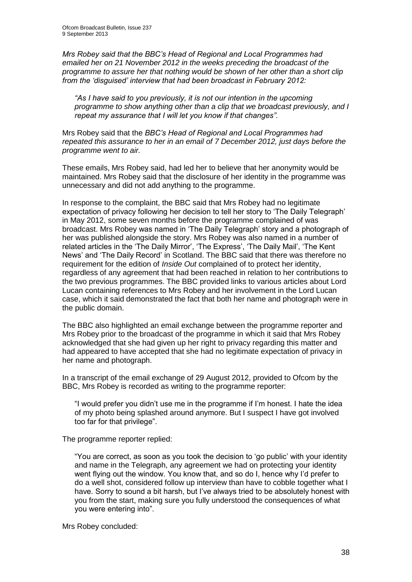*Mrs Robey said that the BBC's Head of Regional and Local Programmes had emailed her on 21 November 2012 in the weeks preceding the broadcast of the programme to assure her that nothing would be shown of her other than a short clip from the 'disguised' interview that had been broadcast in February 2012:* 

*"As I have said to you previously, it is not our intention in the upcoming programme to show anything other than a clip that we broadcast previously, and I repeat my assurance that I will let you know if that changes".*

Mrs Robey said that the *BBC's Head of Regional and Local Programmes had repeated this assurance to her in an email of 7 December 2012, just days before the programme went to air.*

These emails, Mrs Robey said, had led her to believe that her anonymity would be maintained. Mrs Robey said that the disclosure of her identity in the programme was unnecessary and did not add anything to the programme.

In response to the complaint, the BBC said that Mrs Robey had no legitimate expectation of privacy following her decision to tell her story to 'The Daily Telegraph' in May 2012, some seven months before the programme complained of was broadcast. Mrs Robey was named in 'The Daily Telegraph' story and a photograph of her was published alongside the story. Mrs Robey was also named in a number of related articles in the 'The Daily Mirror', 'The Express', 'The Daily Mail', 'The Kent News' and 'The Daily Record' in Scotland. The BBC said that there was therefore no requirement for the edition of *Inside Out* complained of to protect her identity, regardless of any agreement that had been reached in relation to her contributions to the two previous programmes. The BBC provided links to various articles about Lord Lucan containing references to Mrs Robey and her involvement in the Lord Lucan case, which it said demonstrated the fact that both her name and photograph were in the public domain.

The BBC also highlighted an email exchange between the programme reporter and Mrs Robey prior to the broadcast of the programme in which it said that Mrs Robey acknowledged that she had given up her right to privacy regarding this matter and had appeared to have accepted that she had no legitimate expectation of privacy in her name and photograph.

In a transcript of the email exchange of 29 August 2012, provided to Ofcom by the BBC, Mrs Robey is recorded as writing to the programme reporter:

"I would prefer you didn't use me in the programme if I'm honest. I hate the idea of my photo being splashed around anymore. But I suspect I have got involved too far for that privilege".

The programme reporter replied:

"You are correct, as soon as you took the decision to 'go public' with your identity and name in the Telegraph, any agreement we had on protecting your identity went flying out the window. You know that, and so do I, hence why I'd prefer to do a well shot, considered follow up interview than have to cobble together what I have. Sorry to sound a bit harsh, but I've always tried to be absolutely honest with you from the start, making sure you fully understood the consequences of what you were entering into".

Mrs Robey concluded: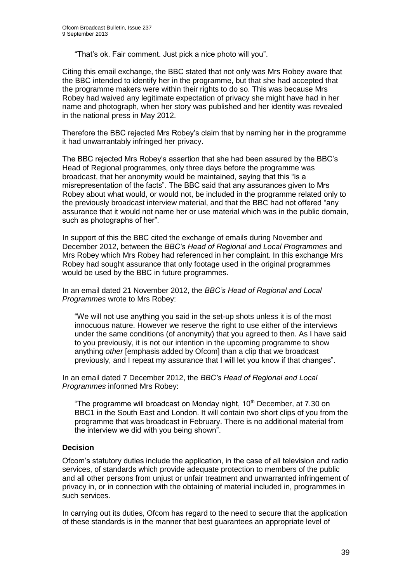"That's ok. Fair comment. Just pick a nice photo will you".

Citing this email exchange, the BBC stated that not only was Mrs Robey aware that the BBC intended to identify her in the programme, but that she had accepted that the programme makers were within their rights to do so. This was because Mrs Robey had waived any legitimate expectation of privacy she might have had in her name and photograph, when her story was published and her identity was revealed in the national press in May 2012.

Therefore the BBC rejected Mrs Robey's claim that by naming her in the programme it had unwarrantably infringed her privacy.

The BBC rejected Mrs Robey's assertion that she had been assured by the BBC's Head of Regional programmes, only three days before the programme was broadcast, that her anonymity would be maintained, saying that this "is a misrepresentation of the facts". The BBC said that any assurances given to Mrs Robey about what would, or would not, be included in the programme related only to the previously broadcast interview material, and that the BBC had not offered "any assurance that it would not name her or use material which was in the public domain, such as photographs of her".

In support of this the BBC cited the exchange of emails during November and December 2012, between the *BBC's Head of Regional and Local Programmes* and Mrs Robey which Mrs Robey had referenced in her complaint. In this exchange Mrs Robey had sought assurance that only footage used in the original programmes would be used by the BBC in future programmes.

In an email dated 21 November 2012, the *BBC's Head of Regional and Local Programmes* wrote to Mrs Robey:

"We will not use anything you said in the set-up shots unless it is of the most innocuous nature. However we reserve the right to use either of the interviews under the same conditions (of anonymity) that you agreed to then. As I have said to you previously, it is not our intention in the upcoming programme to show anything *other* [emphasis added by Ofcom] than a clip that we broadcast previously, and I repeat my assurance that I will let you know if that changes".

In an email dated 7 December 2012, the *BBC's Head of Regional and Local Programmes* informed Mrs Robey:

"The programme will broadcast on Monday night,  $10<sup>th</sup>$  December, at 7.30 on BBC1 in the South East and London. It will contain two short clips of you from the programme that was broadcast in February. There is no additional material from the interview we did with you being shown".

## **Decision**

Ofcom's statutory duties include the application, in the case of all television and radio services, of standards which provide adequate protection to members of the public and all other persons from unjust or unfair treatment and unwarranted infringement of privacy in, or in connection with the obtaining of material included in, programmes in such services.

In carrying out its duties, Ofcom has regard to the need to secure that the application of these standards is in the manner that best guarantees an appropriate level of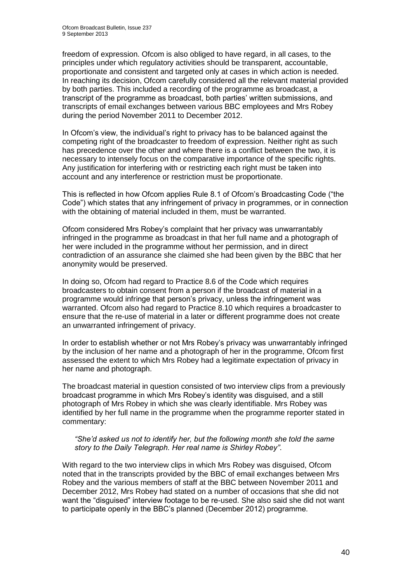freedom of expression. Ofcom is also obliged to have regard, in all cases, to the principles under which regulatory activities should be transparent, accountable, proportionate and consistent and targeted only at cases in which action is needed. In reaching its decision, Ofcom carefully considered all the relevant material provided by both parties. This included a recording of the programme as broadcast, a transcript of the programme as broadcast, both parties' written submissions, and transcripts of email exchanges between various BBC employees and Mrs Robey during the period November 2011 to December 2012.

In Ofcom's view, the individual's right to privacy has to be balanced against the competing right of the broadcaster to freedom of expression. Neither right as such has precedence over the other and where there is a conflict between the two, it is necessary to intensely focus on the comparative importance of the specific rights. Any justification for interfering with or restricting each right must be taken into account and any interference or restriction must be proportionate.

This is reflected in how Ofcom applies Rule 8.1 of Ofcom's Broadcasting Code ("the Code") which states that any infringement of privacy in programmes, or in connection with the obtaining of material included in them, must be warranted.

Ofcom considered Mrs Robey's complaint that her privacy was unwarrantably infringed in the programme as broadcast in that her full name and a photograph of her were included in the programme without her permission, and in direct contradiction of an assurance she claimed she had been given by the BBC that her anonymity would be preserved.

In doing so, Ofcom had regard to Practice 8.6 of the Code which requires broadcasters to obtain consent from a person if the broadcast of material in a programme would infringe that person's privacy, unless the infringement was warranted. Ofcom also had regard to Practice 8.10 which requires a broadcaster to ensure that the re-use of material in a later or different programme does not create an unwarranted infringement of privacy.

In order to establish whether or not Mrs Robey's privacy was unwarrantably infringed by the inclusion of her name and a photograph of her in the programme, Ofcom first assessed the extent to which Mrs Robey had a legitimate expectation of privacy in her name and photograph.

The broadcast material in question consisted of two interview clips from a previously broadcast programme in which Mrs Robey's identity was disguised, and a still photograph of Mrs Robey in which she was clearly identifiable. Mrs Robey was identified by her full name in the programme when the programme reporter stated in commentary:

#### *"She'd asked us not to identify her, but the following month she told the same story to the Daily Telegraph. Her real name is Shirley Robey"*.

With regard to the two interview clips in which Mrs Robey was disguised, Ofcom noted that in the transcripts provided by the BBC of email exchanges between Mrs Robey and the various members of staff at the BBC between November 2011 and December 2012, Mrs Robey had stated on a number of occasions that she did not want the "disguised" interview footage to be re-used. She also said she did not want to participate openly in the BBC's planned (December 2012) programme.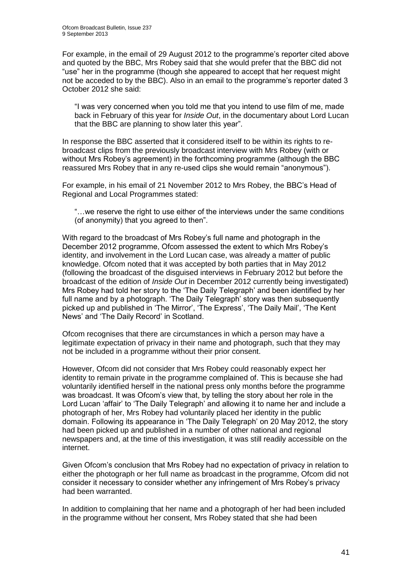For example, in the email of 29 August 2012 to the programme's reporter cited above and quoted by the BBC, Mrs Robey said that she would prefer that the BBC did not "use" her in the programme (though she appeared to accept that her request might not be acceded to by the BBC). Also in an email to the programme's reporter dated 3 October 2012 she said:

"I was very concerned when you told me that you intend to use film of me, made back in February of this year for *Inside Out*, in the documentary about Lord Lucan that the BBC are planning to show later this year".

In response the BBC asserted that it considered itself to be within its rights to rebroadcast clips from the previously broadcast interview with Mrs Robey (with or without Mrs Robey's agreement) in the forthcoming programme (although the BBC reassured Mrs Robey that in any re-used clips she would remain "anonymous").

For example, in his email of 21 November 2012 to Mrs Robey, the BBC's Head of Regional and Local Programmes stated:

"…we reserve the right to use either of the interviews under the same conditions (of anonymity) that you agreed to then".

With regard to the broadcast of Mrs Robey's full name and photograph in the December 2012 programme, Ofcom assessed the extent to which Mrs Robey's identity, and involvement in the Lord Lucan case, was already a matter of public knowledge. Ofcom noted that it was accepted by both parties that in May 2012 (following the broadcast of the disguised interviews in February 2012 but before the broadcast of the edition of *Inside Out* in December 2012 currently being investigated) Mrs Robey had told her story to the 'The Daily Telegraph' and been identified by her full name and by a photograph. 'The Daily Telegraph' story was then subsequently picked up and published in 'The Mirror', 'The Express', 'The Daily Mail', 'The Kent News' and 'The Daily Record' in Scotland.

Ofcom recognises that there are circumstances in which a person may have a legitimate expectation of privacy in their name and photograph, such that they may not be included in a programme without their prior consent.

However, Ofcom did not consider that Mrs Robey could reasonably expect her identity to remain private in the programme complained of. This is because she had voluntarily identified herself in the national press only months before the programme was broadcast. It was Ofcom's view that, by telling the story about her role in the Lord Lucan 'affair' to 'The Daily Telegraph' and allowing it to name her and include a photograph of her, Mrs Robey had voluntarily placed her identity in the public domain. Following its appearance in 'The Daily Telegraph' on 20 May 2012, the story had been picked up and published in a number of other national and regional newspapers and, at the time of this investigation, it was still readily accessible on the internet.

Given Ofcom's conclusion that Mrs Robey had no expectation of privacy in relation to either the photograph or her full name as broadcast in the programme, Ofcom did not consider it necessary to consider whether any infringement of Mrs Robey's privacy had been warranted.

In addition to complaining that her name and a photograph of her had been included in the programme without her consent, Mrs Robey stated that she had been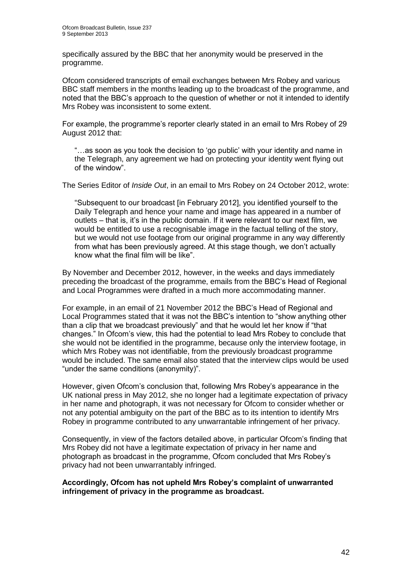specifically assured by the BBC that her anonymity would be preserved in the programme.

Ofcom considered transcripts of email exchanges between Mrs Robey and various BBC staff members in the months leading up to the broadcast of the programme, and noted that the BBC's approach to the question of whether or not it intended to identify Mrs Robey was inconsistent to some extent.

For example, the programme's reporter clearly stated in an email to Mrs Robey of 29 August 2012 that:

"…as soon as you took the decision to 'go public' with your identity and name in the Telegraph, any agreement we had on protecting your identity went flying out of the window".

The Series Editor of *Inside Out*, in an email to Mrs Robey on 24 October 2012, wrote:

"Subsequent to our broadcast [in February 2012], you identified yourself to the Daily Telegraph and hence your name and image has appeared in a number of outlets – that is, it's in the public domain. If it were relevant to our next film, we would be entitled to use a recognisable image in the factual telling of the story, but we would not use footage from our original programme in any way differently from what has been previously agreed. At this stage though, we don't actually know what the final film will be like".

By November and December 2012, however, in the weeks and days immediately preceding the broadcast of the programme, emails from the BBC's Head of Regional and Local Programmes were drafted in a much more accommodating manner.

For example, in an email of 21 November 2012 the BBC's Head of Regional and Local Programmes stated that it was not the BBC's intention to "show anything other than a clip that we broadcast previously" and that he would let her know if "that changes." In Ofcom's view, this had the potential to lead Mrs Robey to conclude that she would not be identified in the programme, because only the interview footage, in which Mrs Robey was not identifiable, from the previously broadcast programme would be included. The same email also stated that the interview clips would be used "under the same conditions (anonymity)".

However, given Ofcom's conclusion that, following Mrs Robey's appearance in the UK national press in May 2012, she no longer had a legitimate expectation of privacy in her name and photograph, it was not necessary for Ofcom to consider whether or not any potential ambiguity on the part of the BBC as to its intention to identify Mrs Robey in programme contributed to any unwarrantable infringement of her privacy.

Consequently, in view of the factors detailed above, in particular Ofcom's finding that Mrs Robey did not have a legitimate expectation of privacy in her name and photograph as broadcast in the programme, Ofcom concluded that Mrs Robey's privacy had not been unwarrantably infringed.

**Accordingly, Ofcom has not upheld Mrs Robey's complaint of unwarranted infringement of privacy in the programme as broadcast.**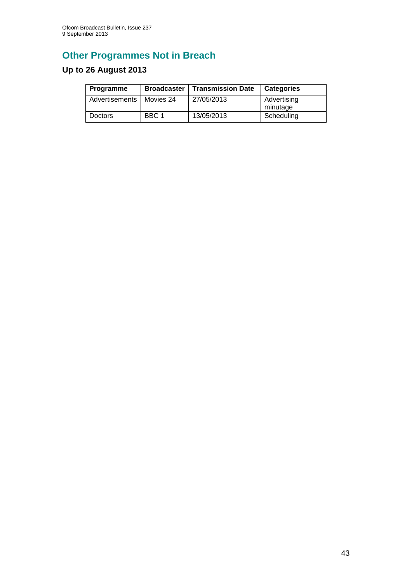# **Other Programmes Not in Breach**

# **Up to 26 August 2013**

| Programme      |           | <b>Broadcaster   Transmission Date</b> | <b>Categories</b>       |
|----------------|-----------|----------------------------------------|-------------------------|
| Advertisements | Movies 24 | 27/05/2013                             | Advertising<br>minutage |
| <b>Doctors</b> | BBC 1     | 13/05/2013                             | Scheduling              |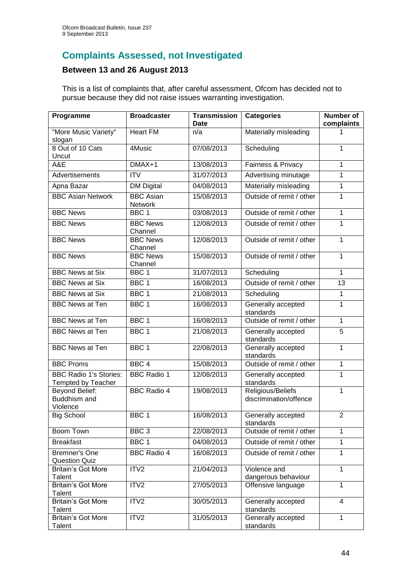# **Complaints Assessed, not Investigated**

## **Between 13 and 26 August 2013**

This is a list of complaints that, after careful assessment, Ofcom has decided not to pursue because they did not raise issues warranting investigation.

| Programme                                                  | <b>Broadcaster</b>                 | <b>Transmission</b><br><b>Date</b> | <b>Categories</b>                           | Number of<br>complaints |
|------------------------------------------------------------|------------------------------------|------------------------------------|---------------------------------------------|-------------------------|
| "More Music Variety"<br>slogan                             | <b>Heart FM</b>                    | n/a                                | Materially misleading                       |                         |
| 8 Out of 10 Cats<br>Uncut                                  | 4Music                             | 07/08/2013                         | Scheduling                                  | 1                       |
| A&E                                                        | $DMAX+1$                           | 13/08/2013                         | Fairness & Privacy                          | 1                       |
| Advertisements                                             | $\overline{IV}$                    | 31/07/2013                         | Advertising minutage                        | 1                       |
| Apna Bazar                                                 | <b>DM Digital</b>                  | 04/08/2013                         | Materially misleading                       | 1                       |
| <b>BBC Asian Network</b>                                   | <b>BBC</b> Asian<br><b>Network</b> | 15/08/2013                         | Outside of remit / other                    | 1                       |
| <b>BBC News</b>                                            | BBC <sub>1</sub>                   | 03/08/2013                         | Outside of remit / other                    | $\mathbf{1}$            |
| <b>BBC News</b>                                            | <b>BBC News</b><br>Channel         | 12/08/2013                         | Outside of remit / other                    | 1                       |
| <b>BBC News</b>                                            | <b>BBC News</b><br>Channel         | 12/08/2013                         | Outside of remit / other                    | 1                       |
| <b>BBC News</b>                                            | <b>BBC News</b><br>Channel         | 15/08/2013                         | Outside of remit / other                    | 1                       |
| <b>BBC News at Six</b>                                     | BBC <sub>1</sub>                   | 31/07/2013                         | Scheduling                                  | $\mathbf 1$             |
| <b>BBC News at Six</b>                                     | BBC <sub>1</sub>                   | 16/08/2013                         | Outside of remit / other                    | $\overline{13}$         |
| <b>BBC News at Six</b>                                     | BBC <sub>1</sub>                   | 21/08/2013                         | Scheduling                                  | 1                       |
| <b>BBC News at Ten</b>                                     | BBC <sub>1</sub>                   | 16/08/2013                         | Generally accepted<br>standards             | 1                       |
| <b>BBC News at Ten</b>                                     | BBC <sub>1</sub>                   | 16/08/2013                         | Outside of remit / other                    | 1                       |
| <b>BBC News at Ten</b>                                     | BBC <sub>1</sub>                   | 21/08/2013                         | Generally accepted<br>standards             | $\overline{5}$          |
| <b>BBC News at Ten</b>                                     | BBC <sub>1</sub>                   | 22/08/2013                         | Generally accepted<br>standards             | 1                       |
| <b>BBC Proms</b>                                           | BBC <sub>4</sub>                   | 15/08/2013                         | Outside of remit / other                    | 1                       |
| <b>BBC Radio 1's Stories:</b><br><b>Tempted by Teacher</b> | <b>BBC Radio 1</b>                 | 12/08/2013                         | Generally accepted<br>standards             | 1                       |
| Beyond Belief:<br>Buddhism and<br>Violence                 | <b>BBC Radio 4</b>                 | 19/08/2013                         | Religious/Beliefs<br>discrimination/offence | 1                       |
| <b>Big School</b>                                          | BBC <sub>1</sub>                   | 16/08/2013                         | Generally accepted<br>standards             | $\overline{2}$          |
| <b>Boom Town</b>                                           | BBC <sub>3</sub>                   | 22/08/2013                         | Outside of remit / other                    | 1                       |
| <b>Breakfast</b>                                           | BBC <sub>1</sub>                   | 04/08/2013                         | Outside of remit / other                    | 1                       |
| <b>Bremner's One</b><br><b>Question Quiz</b>               | <b>BBC Radio 4</b>                 | 16/08/2013                         | Outside of remit / other                    | $\mathbf{1}$            |
| <b>Britain's Got More</b><br>Talent                        | ITV2                               | 21/04/2013                         | Violence and<br>dangerous behaviour         | 1                       |
| <b>Britain's Got More</b><br>Talent                        | ITV2                               | 27/05/2013                         | Offensive language                          | 1                       |
| <b>Britain's Got More</b><br>Talent                        | ITV2                               | 30/05/2013                         | Generally accepted<br>standards             | $\overline{4}$          |
| <b>Britain's Got More</b><br>Talent                        | ITV <sub>2</sub>                   | 31/05/2013                         | Generally accepted<br>standards             | 1                       |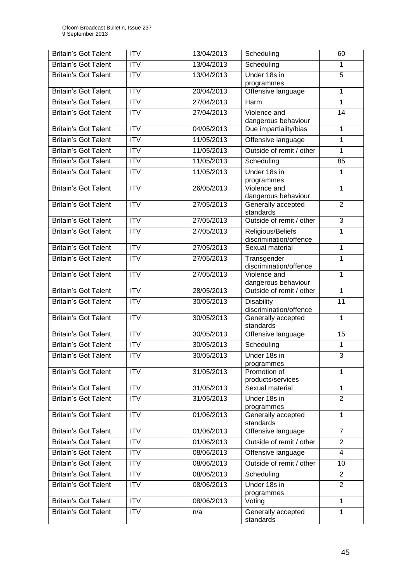| <b>Britain's Got Talent</b> | <b>ITV</b>             | 13/04/2013 | Scheduling                                  | 60             |
|-----------------------------|------------------------|------------|---------------------------------------------|----------------|
| <b>Britain's Got Talent</b> | <b>ITV</b>             | 13/04/2013 | Scheduling                                  | 1              |
| <b>Britain's Got Talent</b> | <b>ITV</b>             | 13/04/2013 | Under 18s in<br>programmes                  | $\overline{5}$ |
| <b>Britain's Got Talent</b> | ITV                    | 20/04/2013 | Offensive language                          | 1              |
| <b>Britain's Got Talent</b> | $\overline{\text{IV}}$ | 27/04/2013 | Harm                                        | 1              |
| <b>Britain's Got Talent</b> | <b>ITV</b>             | 27/04/2013 | Violence and<br>dangerous behaviour         | 14             |
| <b>Britain's Got Talent</b> | $\overline{\text{IV}}$ | 04/05/2013 | Due impartiality/bias                       | 1              |
| <b>Britain's Got Talent</b> | <b>ITV</b>             | 11/05/2013 | Offensive language                          | 1              |
| Britain's Got Talent        | <b>ITV</b>             | 11/05/2013 | Outside of remit / other                    | 1              |
| <b>Britain's Got Talent</b> | <b>ITV</b>             | 11/05/2013 | Scheduling                                  | 85             |
| <b>Britain's Got Talent</b> | $\overline{IV}$        | 11/05/2013 | Under 18s in<br>programmes                  | 1              |
| <b>Britain's Got Talent</b> | <b>ITV</b>             | 26/05/2013 | Violence and<br>dangerous behaviour         | $\mathbf{1}$   |
| <b>Britain's Got Talent</b> | <b>ITV</b>             | 27/05/2013 | Generally accepted<br>standards             | $\overline{2}$ |
| <b>Britain's Got Talent</b> | $\overline{IV}$        | 27/05/2013 | Outside of remit / other                    | 3              |
| <b>Britain's Got Talent</b> | <b>ITV</b>             | 27/05/2013 | Religious/Beliefs<br>discrimination/offence | 1              |
| <b>Britain's Got Talent</b> | $\overline{IV}$        | 27/05/2013 | Sexual material                             | 1              |
| <b>Britain's Got Talent</b> | <b>ITV</b>             | 27/05/2013 | Transgender<br>discrimination/offence       | 1              |
| <b>Britain's Got Talent</b> | ITV                    | 27/05/2013 | Violence and<br>dangerous behaviour         | 1              |
| <b>Britain's Got Talent</b> | ITV                    | 28/05/2013 | Outside of remit / other                    | 1              |
| <b>Britain's Got Talent</b> | $\overline{\text{IV}}$ | 30/05/2013 | <b>Disability</b><br>discrimination/offence | 11             |
| <b>Britain's Got Talent</b> | $\overline{IV}$        | 30/05/2013 | Generally accepted<br>standards             | 1              |
| <b>Britain's Got Talent</b> | <b>ITV</b>             | 30/05/2013 | Offensive language                          | 15             |
| <b>Britain's Got Talent</b> | <b>ITV</b>             | 30/05/2013 | Scheduling                                  | 1              |
| Britain's Got Talent        | ITV                    | 30/05/2013 | Under 18s in<br>programmes                  | 3              |
| <b>Britain's Got Talent</b> | <b>ITV</b>             | 31/05/2013 | Promotion of<br>products/services           | 1              |
| <b>Britain's Got Talent</b> | <b>ITV</b>             | 31/05/2013 | Sexual material                             | 1              |
| <b>Britain's Got Talent</b> | <b>ITV</b>             | 31/05/2013 | Under 18s in<br>programmes                  | $\overline{2}$ |
| <b>Britain's Got Talent</b> | <b>ITV</b>             | 01/06/2013 | Generally accepted<br>standards             | 1              |
| <b>Britain's Got Talent</b> | <b>ITV</b>             | 01/06/2013 | Offensive language                          | $\overline{7}$ |
| <b>Britain's Got Talent</b> | $\overline{\text{IV}}$ | 01/06/2013 | Outside of remit / other                    | $\overline{2}$ |
| <b>Britain's Got Talent</b> | <b>ITV</b>             | 08/06/2013 | Offensive language                          | 4              |
| <b>Britain's Got Talent</b> | <b>ITV</b>             | 08/06/2013 | Outside of remit / other                    | 10             |
| <b>Britain's Got Talent</b> | ITV                    | 08/06/2013 | Scheduling                                  | $\overline{2}$ |
| <b>Britain's Got Talent</b> | <b>ITV</b>             | 08/06/2013 | Under 18s in<br>programmes                  | $\overline{2}$ |
| <b>Britain's Got Talent</b> | <b>ITV</b>             | 08/06/2013 | Voting                                      | 1              |
| <b>Britain's Got Talent</b> | $\overline{\text{IV}}$ | n/a        | Generally accepted<br>standards             | 1              |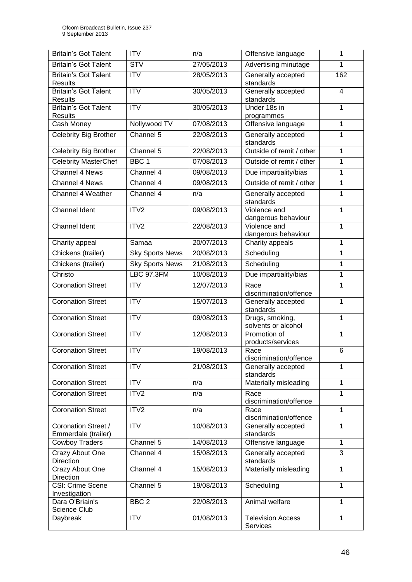| <b>Britain's Got Talent</b>                   | <b>ITV</b>             | n/a        | Offensive language                     | 1            |
|-----------------------------------------------|------------------------|------------|----------------------------------------|--------------|
| <b>Britain's Got Talent</b>                   | <b>STV</b>             | 27/05/2013 | Advertising minutage                   | 1            |
| <b>Britain's Got Talent</b><br><b>Results</b> | <b>ITV</b>             | 28/05/2013 | Generally accepted<br>standards        | 162          |
| <b>Britain's Got Talent</b><br><b>Results</b> | $\overline{\text{IV}}$ | 30/05/2013 | Generally accepted<br>standards        | 4            |
| <b>Britain's Got Talent</b><br><b>Results</b> | <b>ITV</b>             | 30/05/2013 | Under 18s in<br>programmes             | 1            |
| Cash Money                                    | Nollywood TV           | 07/08/2013 | Offensive language                     | 1            |
| <b>Celebrity Big Brother</b>                  | Channel 5              | 22/08/2013 | Generally accepted<br>standards        | 1            |
| Celebrity Big Brother                         | Channel 5              | 22/08/2013 | Outside of remit / other               | 1            |
| <b>Celebrity MasterChef</b>                   | BBC <sub>1</sub>       | 07/08/2013 | Outside of remit / other               | 1            |
| <b>Channel 4 News</b>                         | Channel 4              | 09/08/2013 | Due impartiality/bias                  | 1            |
| Channel 4 News                                | Channel 4              | 09/08/2013 | Outside of remit / other               | 1            |
| Channel 4 Weather                             | Channel 4              | n/a        | Generally accepted<br>standards        | 1            |
| <b>Channel Ident</b>                          | ITV2                   | 09/08/2013 | Violence and                           | 1            |
|                                               |                        |            | dangerous behaviour                    |              |
| Channel Ident                                 | ITV2                   | 22/08/2013 | Violence and<br>dangerous behaviour    | 1            |
| Charity appeal                                | Samaa                  | 20/07/2013 | Charity appeals                        | 1            |
| Chickens (trailer)                            | <b>Sky Sports News</b> | 20/08/2013 | Scheduling                             | $\mathbf{1}$ |
| Chickens (trailer)                            | <b>Sky Sports News</b> | 21/08/2013 | Scheduling                             | 1            |
| Christo                                       | <b>LBC 97.3FM</b>      | 10/08/2013 | Due impartiality/bias                  | 1            |
|                                               | <b>ITV</b>             |            |                                        |              |
| <b>Coronation Street</b>                      |                        | 12/07/2013 | Race<br>discrimination/offence         | 1            |
| <b>Coronation Street</b>                      | $\overline{IV}$        | 15/07/2013 | Generally accepted<br>standards        | 1            |
| <b>Coronation Street</b>                      | ITV                    | 09/08/2013 | Drugs, smoking,<br>solvents or alcohol | 1            |
| <b>Coronation Street</b>                      | <b>ITV</b>             | 12/08/2013 | Promotion of<br>products/services      | 1            |
| <b>Coronation Street</b>                      | <b>ITV</b>             | 19/08/2013 | Race<br>discrimination/offence         | 6            |
| <b>Coronation Street</b>                      | <b>ITV</b>             | 21/08/2013 | Generally accepted<br>standards        | 1            |
| <b>Coronation Street</b>                      | <b>ITV</b>             | n/a        | Materially misleading                  | 1            |
| <b>Coronation Street</b>                      | ITV <sub>2</sub>       | n/a        | Race<br>discrimination/offence         | 1            |
| <b>Coronation Street</b>                      | ITV2                   | n/a        | Race<br>discrimination/offence         | 1            |
| Coronation Street /<br>Emmerdale (trailer)    | <b>ITV</b>             | 10/08/2013 | Generally accepted<br>standards        | 1            |
| <b>Cowboy Traders</b>                         | Channel 5              | 14/08/2013 | Offensive language                     | $\mathbf{1}$ |
| Crazy About One<br>Direction                  | Channel 4              | 15/08/2013 | Generally accepted<br>standards        | 3            |
| Crazy About One<br>Direction                  | Channel 4              | 15/08/2013 | Materially misleading                  | 1            |
| CSI: Crime Scene<br>Investigation             | Channel 5              | 19/08/2013 | Scheduling                             | 1            |
| Dara O'Briain's<br>Science Club               | BBC <sub>2</sub>       | 22/08/2013 | Animal welfare                         | 1            |
| Daybreak                                      | <b>ITV</b>             | 01/08/2013 | Television Access<br>Services          | 1            |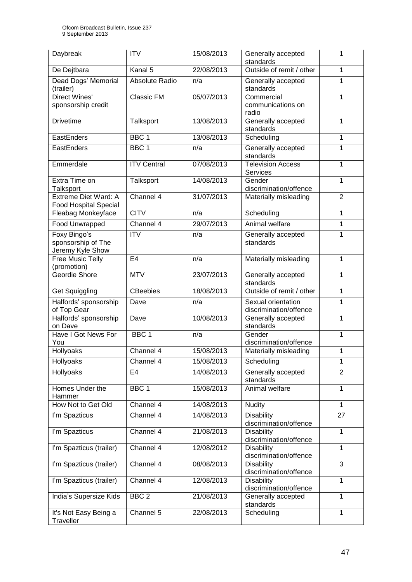| Daybreak                                               | <b>ITV</b>             | 15/08/2013 | Generally accepted<br>standards              | 1              |
|--------------------------------------------------------|------------------------|------------|----------------------------------------------|----------------|
| De Dejtbara                                            | Kanal 5                | 22/08/2013 | Outside of remit / other                     | 1              |
| Dead Dogs' Memorial<br>(trailer)                       | Absolute Radio         | n/a        | Generally accepted<br>standards              | 1              |
| <b>Direct Wines'</b><br>sponsorship credit             | <b>Classic FM</b>      | 05/07/2013 | Commercial<br>communications on<br>radio     | 1              |
| <b>Drivetime</b>                                       | Talksport              | 13/08/2013 | Generally accepted<br>standards              | $\mathbf 1$    |
| EastEnders                                             | BBC <sub>1</sub>       | 13/08/2013 | Scheduling                                   | $\mathbf{1}$   |
| EastEnders                                             | BBC <sub>1</sub>       | n/a        | Generally accepted<br>standards              | $\mathbf{1}$   |
| Emmerdale                                              | <b>ITV Central</b>     | 07/08/2013 | <b>Television Access</b><br><b>Services</b>  | $\mathbf{1}$   |
| Extra Time on<br>Talksport                             | Talksport              | 14/08/2013 | Gender<br>discrimination/offence             | 1              |
| Extreme Diet Ward: A<br><b>Food Hospital Special</b>   | Channel 4              | 31/07/2013 | Materially misleading                        | $\overline{2}$ |
| Fleabag Monkeyface                                     | <b>CITV</b>            | n/a        | Scheduling                                   | 1              |
| Food Unwrapped                                         | Channel 4              | 29/07/2013 | Animal welfare                               | $\overline{1}$ |
| Foxy Bingo's<br>sponsorship of The<br>Jeremy Kyle Show | <b>ITV</b>             | n/a        | Generally accepted<br>standards              | 1              |
| <b>Free Music Telly</b><br>(promotion)                 | E <sub>4</sub>         | n/a        | Materially misleading                        | 1              |
| Geordie Shore                                          | <b>MTV</b>             | 23/07/2013 | Generally accepted<br>standards              | 1              |
| Get Squiggling                                         | <b>CBeebies</b>        | 18/08/2013 | Outside of remit / other                     | $\overline{1}$ |
| Halfords' sponsorship<br>of Top Gear                   | Dave                   | n/a        | Sexual orientation<br>discrimination/offence | 1              |
| Halfords' sponsorship<br>on Dave                       | Dave                   | 10/08/2013 | Generally accepted<br>standards              | $\mathbf{1}$   |
| <b>Have I Got News For</b><br>You                      | BBC <sub>1</sub>       | n/a        | Gender<br>discrimination/offence             | 1              |
| Hollyoaks                                              | Channel 4              | 15/08/2013 | Materially misleading                        | 1              |
| Hollyoaks                                              | Channel 4              | 15/08/2013 | Scheduling                                   | 1              |
| Hollyoaks                                              | E <sub>4</sub>         | 14/08/2013 | Generally accepted<br>standards              | $\overline{2}$ |
| Homes Under the<br>Hammer                              | BBC <sub>1</sub>       | 15/08/2013 | Animal welfare                               | 1              |
| How Not to Get Old                                     | Channel 4              | 14/08/2013 | <b>Nudity</b>                                | $\overline{1}$ |
| I'm Spazticus                                          | Channel 4              | 14/08/2013 | <b>Disability</b><br>discrimination/offence  | 27             |
| I'm Spazticus                                          | Channel 4              | 21/08/2013 | <b>Disability</b><br>discrimination/offence  | $\mathbf{1}$   |
| I'm Spazticus (trailer)                                | Channel 4              | 12/08/2012 | <b>Disability</b><br>discrimination/offence  | $\mathbf{1}$   |
| I'm Spazticus (trailer)                                | Channel 4              | 08/08/2013 | <b>Disability</b><br>discrimination/offence  | 3              |
| I'm Spazticus (trailer)                                | Channel 4              | 12/08/2013 | <b>Disability</b><br>discrimination/offence  | $\mathbf{1}$   |
| India's Supersize Kids                                 | BBC <sub>2</sub>       | 21/08/2013 | Generally accepted<br>standards              | $\mathbf{1}$   |
| It's Not Easy Being a<br>Traveller                     | Channel $\overline{5}$ | 22/08/2013 | Scheduling                                   | 1              |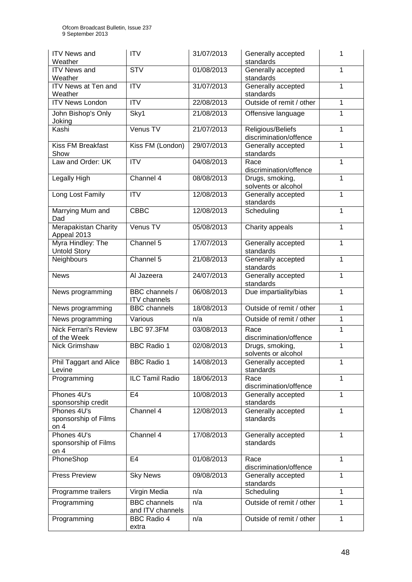| <b>ITV News and</b><br>Weather                         | <b>ITV</b>                              | 31/07/2013 | Generally accepted<br>standards             | 1              |
|--------------------------------------------------------|-----------------------------------------|------------|---------------------------------------------|----------------|
| <b>ITV News and</b><br>Weather                         | <b>STV</b>                              | 01/08/2013 | Generally accepted<br>standards             | 1              |
| ITV News at Ten and<br>Weather                         | <b>ITV</b>                              | 31/07/2013 | Generally accepted<br>standards             | 1              |
| <b>ITV News London</b>                                 | $\overline{ITV}$                        | 22/08/2013 | Outside of remit / other                    | $\mathbf{1}$   |
| John Bishop's Only<br>Joking                           | Sky1                                    | 21/08/2013 | Offensive language                          | 1              |
| Kashi                                                  | Venus TV                                | 21/07/2013 | Religious/Beliefs<br>discrimination/offence | $\mathbf{1}$   |
| Kiss FM Breakfast<br>Show                              | Kiss FM (London)                        | 29/07/2013 | Generally accepted<br>standards             | 1              |
| Law and Order: UK                                      | <b>ITV</b>                              | 04/08/2013 | Race<br>discrimination/offence              | 1              |
| Legally High                                           | Channel 4                               | 08/08/2013 | Drugs, smoking,<br>solvents or alcohol      | $\mathbf{1}$   |
| Long Lost Family                                       | <b>ITV</b>                              | 12/08/2013 | Generally accepted<br>standards             | $\mathbf{1}$   |
| Marrying Mum and<br>Dad                                | <b>CBBC</b>                             | 12/08/2013 | Scheduling                                  | 1              |
| Merapakistan Charity<br>Appeal 2013                    | Venus TV                                | 05/08/2013 | Charity appeals                             | $\mathbf 1$    |
| Myra Hindley: The<br><b>Untold Story</b>               | Channel 5                               | 17/07/2013 | Generally accepted<br>standards             | 1              |
| Neighbours                                             | Channel 5                               | 21/08/2013 | Generally accepted<br>standards             | 1              |
| <b>News</b>                                            | Al Jazeera                              | 24/07/2013 | Generally accepted<br>standards             | $\mathbf 1$    |
| News programming                                       | BBC channels /<br><b>ITV</b> channels   | 06/08/2013 | Due impartiality/bias                       | 1              |
| News programming                                       | <b>BBC</b> channels                     | 18/08/2013 | Outside of remit / other                    | 1              |
| News programming                                       | Various                                 | n/a        | Outside of remit / other                    | $\mathbf{1}$   |
| <b>Nick Ferrari's Review</b><br>of the Week            | <b>LBC 97.3FM</b>                       | 03/08/2013 | Race<br>discrimination/offence              | 1              |
| Nick Grimshaw                                          | <b>BBC Radio 1</b>                      | 02/08/2013 | Drugs, smoking,<br>solvents or alcohol      | 1              |
| Phil Taggart and Alice<br>Levine                       | <b>BBC Radio 1</b>                      | 14/08/2013 | Generally accepted<br>standards             | 1              |
| Programming                                            | <b>ILC Tamil Radio</b>                  | 18/06/2013 | Race<br>discrimination/offence              | $\overline{1}$ |
| Phones 4U's<br>sponsorship credit                      | E <sub>4</sub>                          | 10/08/2013 | Generally accepted<br>standards             | $\mathbf{1}$   |
| Phones 4U's<br>sponsorship of Films<br>on <sub>4</sub> | Channel 4                               | 12/08/2013 | Generally accepted<br>standards             | $\mathbf{1}$   |
| Phones 4U's<br>sponsorship of Films<br>on $4$          | Channel 4                               | 17/08/2013 | Generally accepted<br>standards             | $\mathbf{1}$   |
| PhoneShop                                              | E <sub>4</sub>                          | 01/08/2013 | Race<br>discrimination/offence              | $\mathbf{1}$   |
| Press Preview                                          | <b>Sky News</b>                         | 09/08/2013 | Generally accepted<br>standards             | $\mathbf{1}$   |
| Programme trailers                                     | Virgin Media                            | n/a        | Scheduling                                  | 1              |
| Programming                                            | <b>BBC</b> channels<br>and ITV channels | n/a        | Outside of remit / other                    | $\mathbf{1}$   |
| Programming                                            | <b>BBC Radio 4</b><br>extra             | n/a        | Outside of remit / other                    | $\mathbf{1}$   |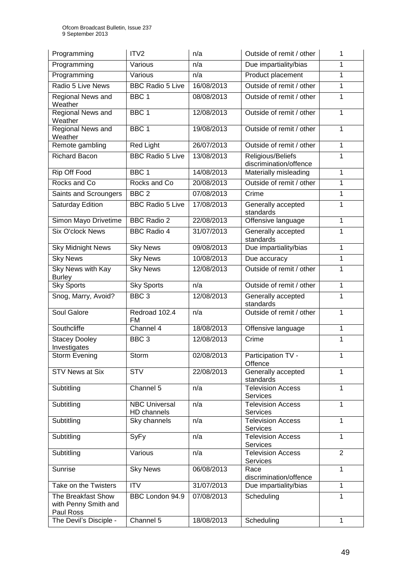| Programming                                             | ITV <sub>2</sub>                    | n/a        | Outside of remit / other                    | 1              |
|---------------------------------------------------------|-------------------------------------|------------|---------------------------------------------|----------------|
| Programming                                             | Various                             | n/a        | Due impartiality/bias                       | 1              |
| Programming                                             | Various                             | n/a        | Product placement                           | 1              |
| Radio 5 Live News                                       | <b>BBC Radio 5 Live</b>             | 16/08/2013 | Outside of remit / other                    | 1              |
| Regional News and<br>Weather                            | BBC <sub>1</sub>                    | 08/08/2013 | Outside of remit / other                    | 1              |
| Regional News and<br>Weather                            | BBC <sub>1</sub>                    | 12/08/2013 | Outside of remit / other                    | 1              |
| Regional News and<br>Weather                            | BBC <sub>1</sub>                    | 19/08/2013 | Outside of remit / other                    | 1              |
| Remote gambling                                         | <b>Red Light</b>                    | 26/07/2013 | Outside of remit / other                    | 1              |
| <b>Richard Bacon</b>                                    | <b>BBC Radio 5 Live</b>             | 13/08/2013 | Religious/Beliefs<br>discrimination/offence | 1              |
| Rip Off Food                                            | BBC <sub>1</sub>                    | 14/08/2013 | Materially misleading                       | 1              |
| Rocks and Co                                            | Rocks and Co                        | 20/08/2013 | Outside of remit / other                    | 1              |
| Saints and Scroungers                                   | BBC <sub>2</sub>                    | 07/08/2013 | Crime                                       | 1              |
| Saturday Edition                                        | <b>BBC Radio 5 Live</b>             | 17/08/2013 | Generally accepted<br>standards             | 1              |
| Simon Mayo Drivetime                                    | <b>BBC Radio 2</b>                  | 22/08/2013 | Offensive language                          | 1              |
| <b>Six O'clock News</b>                                 | <b>BBC Radio 4</b>                  | 31/07/2013 | Generally accepted<br>standards             | 1              |
| <b>Sky Midnight News</b>                                | <b>Sky News</b>                     | 09/08/2013 | Due impartiality/bias                       | 1              |
| <b>Sky News</b>                                         | <b>Sky News</b>                     | 10/08/2013 | Due accuracy                                | 1              |
| Sky News with Kay<br><b>Burley</b>                      | <b>Sky News</b>                     | 12/08/2013 | Outside of remit / other                    | 1              |
| <b>Sky Sports</b>                                       | <b>Sky Sports</b>                   | n/a        | Outside of remit / other                    | 1              |
| Snog, Marry, Avoid?                                     | BBC <sub>3</sub>                    | 12/08/2013 | Generally accepted<br>standards             | 1              |
| Soul Galore                                             | Redroad 102.4<br><b>FM</b>          | n/a        | Outside of remit / other                    | 1              |
| Southcliffe                                             | Channel 4                           | 18/08/2013 | Offensive language                          | 1              |
| <b>Stacey Dooley</b><br>Investigates                    | BBC <sub>3</sub>                    | 12/08/2013 | Crime                                       | 1              |
| <b>Storm Evening</b>                                    | Storm                               | 02/08/2013 | Participation TV -<br>Offence               | 1              |
| <b>STV News at Six</b>                                  | <b>STV</b>                          | 22/08/2013 | Generally accepted<br>standards             | 1              |
| Subtitling                                              | Channel 5                           | n/a        | <b>Television Access</b><br><b>Services</b> | 1              |
| Subtitling                                              | <b>NBC Universal</b><br>HD channels | n/a        | <b>Television Access</b><br><b>Services</b> | 1              |
| Subtitling                                              | Sky channels                        | n/a        | <b>Television Access</b><br><b>Services</b> | 1              |
| Subtitling                                              | SyFy                                | n/a        | <b>Television Access</b><br><b>Services</b> | 1              |
| Subtitling                                              | Various                             | n/a        | <b>Television Access</b><br><b>Services</b> | $\overline{2}$ |
| Sunrise                                                 | <b>Sky News</b>                     | 06/08/2013 | Race<br>discrimination/offence              | 1              |
| Take on the Twisters                                    | <b>ITV</b>                          | 31/07/2013 | Due impartiality/bias                       | 1              |
| The Breakfast Show<br>with Penny Smith and<br>Paul Ross | BBC London 94.9                     | 07/08/2013 | Scheduling                                  | 1              |
| The Devil's Disciple -                                  | Channel 5                           | 18/08/2013 | Scheduling                                  | 1              |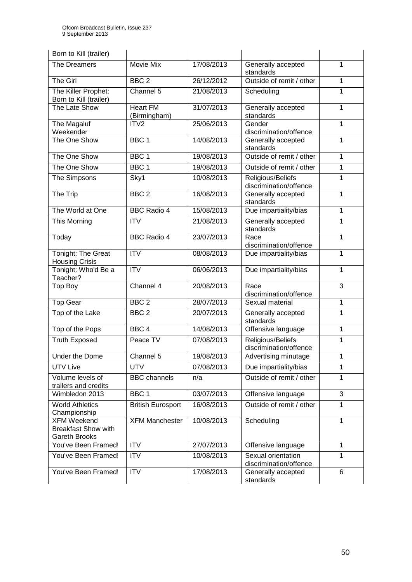| Born to Kill (trailer)                                            |                                 |            |                                                  |              |
|-------------------------------------------------------------------|---------------------------------|------------|--------------------------------------------------|--------------|
| The Dreamers                                                      | Movie Mix                       | 17/08/2013 | Generally accepted<br>standards                  | 1            |
| The Girl                                                          | BBC <sub>2</sub>                | 26/12/2012 | Outside of remit / other                         | 1            |
| The Killer Prophet:<br>Born to Kill (trailer)                     | Channel 5                       | 21/08/2013 | Scheduling                                       | $\mathbf{1}$ |
| The Late Show                                                     | <b>Heart FM</b><br>(Birmingham) | 31/07/2013 | Generally accepted<br>standards                  | 1            |
| The Magaluf<br>Weekender                                          | ITV <sub>2</sub>                | 25/06/2013 | Gender<br>discrimination/offence                 | 1            |
| The One Show                                                      | BBC <sub>1</sub>                | 14/08/2013 | Generally accepted<br>standards                  | 1            |
| The One Show                                                      | BBC <sub>1</sub>                | 19/08/2013 | Outside of remit / other                         | 1            |
| The One Show                                                      | BBC <sub>1</sub>                | 19/08/2013 | Outside of remit / other                         | 1            |
| The Simpsons                                                      | Sky1                            | 10/08/2013 | Religious/Beliefs<br>discrimination/offence      | 1            |
| The Trip                                                          | BBC <sub>2</sub>                | 16/08/2013 | Generally accepted<br>standards                  | 1            |
| The World at One                                                  | <b>BBC Radio 4</b>              | 15/08/2013 | Due impartiality/bias                            | 1            |
| This Morning                                                      | <b>ITV</b>                      | 21/08/2013 | Generally accepted<br>standards                  | 1            |
| Today                                                             | <b>BBC Radio 4</b>              | 23/07/2013 | Race<br>discrimination/offence                   | 1            |
| Tonight: The Great<br><b>Housing Crisis</b>                       | <b>ITV</b>                      | 08/08/2013 | Due impartiality/bias                            | 1            |
| Tonight: Who'd Be a<br>Teacher?                                   | <b>ITV</b>                      | 06/06/2013 | Due impartiality/bias                            | 1            |
| Top Boy                                                           | Channel 4                       | 20/08/2013 | Race<br>discrimination/offence                   | 3            |
| <b>Top Gear</b>                                                   | BBC <sub>2</sub>                | 28/07/2013 | Sexual material                                  | 1            |
| Top of the Lake                                                   | BBC <sub>2</sub>                | 20/07/2013 | Generally accepted<br>1<br>standards             |              |
| Top of the Pops                                                   | BBC <sub>4</sub>                | 14/08/2013 | Offensive language                               | 1            |
| <b>Truth Exposed</b>                                              | Peace TV                        | 07/08/2013 | Religious/Beliefs<br>1<br>discrimination/offence |              |
| Under the Dome                                                    | Channel 5                       | 19/08/2013 | Advertising minutage                             | 1            |
| <b>UTV Live</b>                                                   | <b>UTV</b>                      | 07/08/2013 | Due impartiality/bias                            | 1            |
| Volume levels of<br>trailers and credits                          | <b>BBC</b> channels             | n/a        | Outside of remit / other                         | 1            |
| Wimbledon 2013                                                    | BBC <sub>1</sub>                | 03/07/2013 | Offensive language                               | 3            |
| <b>World Athletics</b><br>Championship                            | <b>British Eurosport</b>        | 16/08/2013 | Outside of remit / other                         | 1            |
| <b>XFM Weekend</b><br><b>Breakfast Show with</b><br>Gareth Brooks | <b>XFM Manchester</b>           | 10/08/2013 | Scheduling                                       | 1            |
| You've Been Framed!                                               | <b>ITV</b>                      | 27/07/2013 | Offensive language                               | $\mathbf{1}$ |
| You've Been Framed!                                               | <b>ITV</b>                      | 10/08/2013 | Sexual orientation<br>discrimination/offence     | 1            |
| You've Been Framed!                                               | <b>ITV</b>                      | 17/08/2013 | Generally accepted<br>standards                  | 6            |